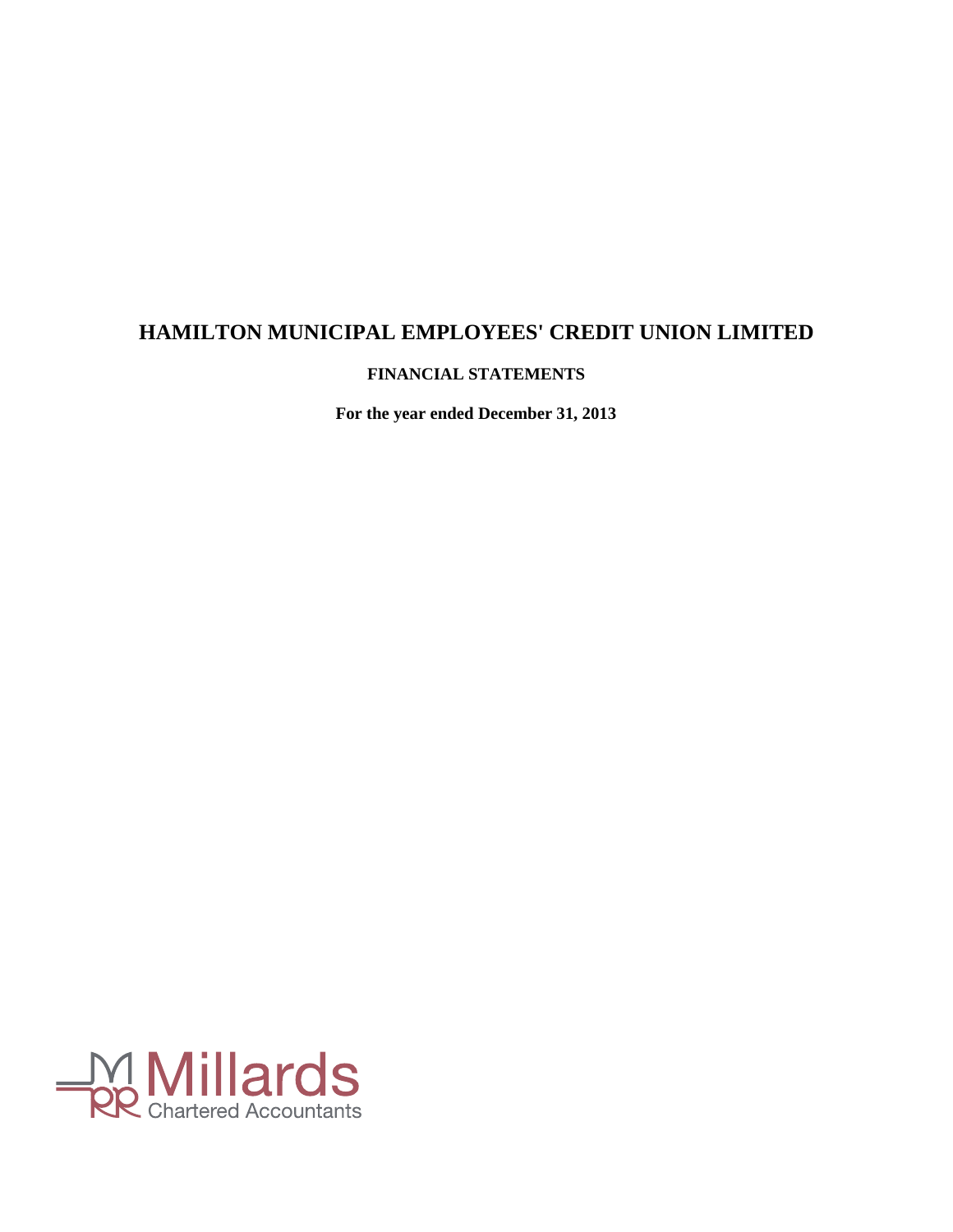**FINANCIAL STATEMENTS**

**For the year ended December 31, 2013**

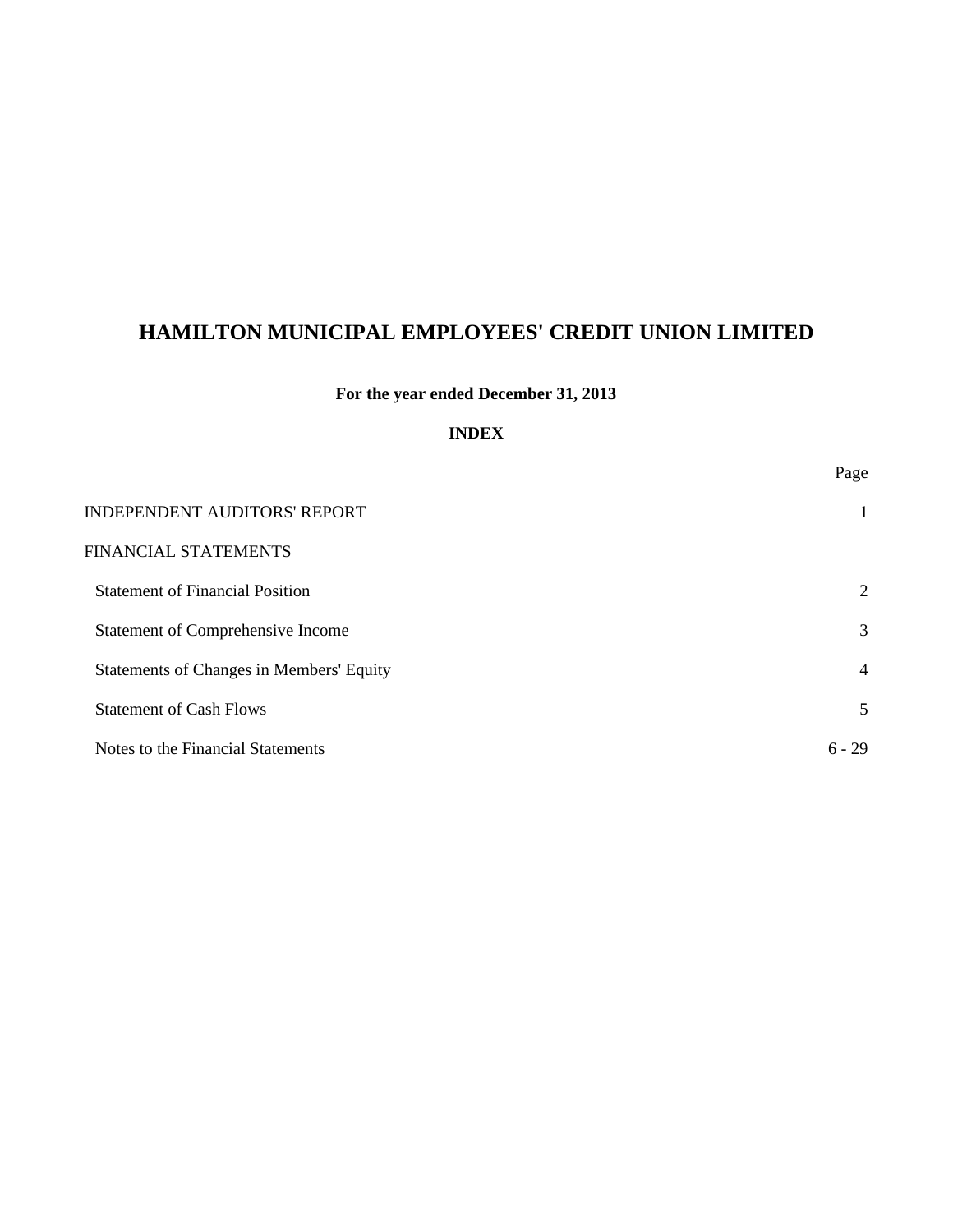## **For the year ended December 31, 2013**

## **INDEX**

|                                          | Page           |
|------------------------------------------|----------------|
| <b>INDEPENDENT AUDITORS' REPORT</b>      |                |
| FINANCIAL STATEMENTS                     |                |
| <b>Statement of Financial Position</b>   | 2              |
| <b>Statement of Comprehensive Income</b> | 3              |
| Statements of Changes in Members' Equity | $\overline{4}$ |
| <b>Statement of Cash Flows</b>           | 5              |
| Notes to the Financial Statements        | $6 - 29$       |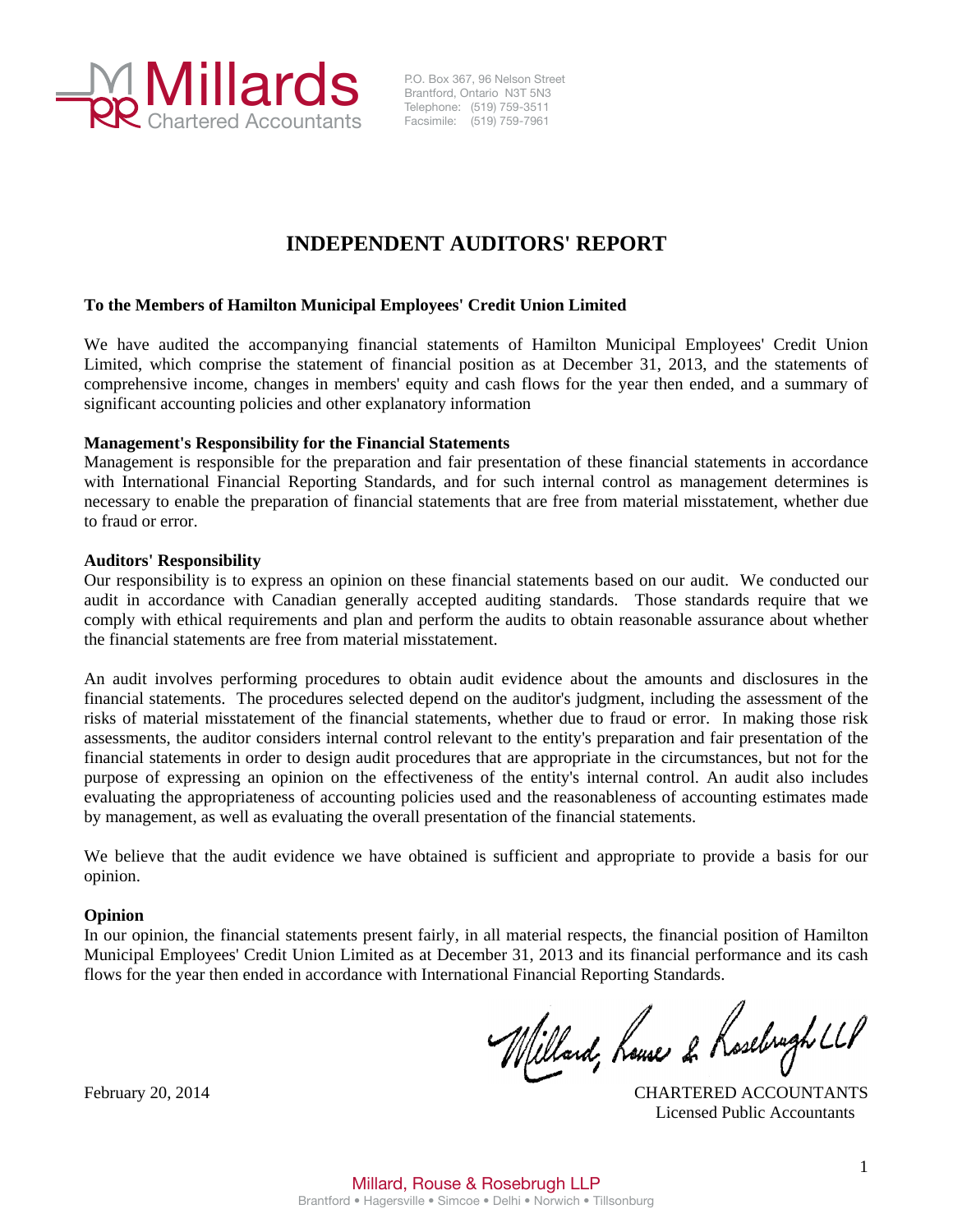

P.O. Box 367, 96 Nelson Street Brantford, Ontario N3T 5N3 Telephone: (519) 759-3511 Facsimile: (519) 759-7961

# **INDEPENDENT AUDITORS' REPORT**

### **To the Members of Hamilton Municipal Employees' Credit Union Limited**

We have audited the accompanying financial statements of Hamilton Municipal Employees' Credit Union Limited, which comprise the statement of financial position as at December 31, 2013, and the statements of comprehensive income, changes in members' equity and cash flows for the year then ended, and a summary of significant accounting policies and other explanatory information

### **Management's Responsibility for the Financial Statements**

Management is responsible for the preparation and fair presentation of these financial statements in accordance with International Financial Reporting Standards, and for such internal control as management determines is necessary to enable the preparation of financial statements that are free from material misstatement, whether due to fraud or error.

### **Auditors' Responsibility**

Our responsibility is to express an opinion on these financial statements based on our audit. We conducted our audit in accordance with Canadian generally accepted auditing standards. Those standards require that we comply with ethical requirements and plan and perform the audits to obtain reasonable assurance about whether the financial statements are free from material misstatement.

An audit involves performing procedures to obtain audit evidence about the amounts and disclosures in the financial statements. The procedures selected depend on the auditor's judgment, including the assessment of the risks of material misstatement of the financial statements, whether due to fraud or error. In making those risk assessments, the auditor considers internal control relevant to the entity's preparation and fair presentation of the financial statements in order to design audit procedures that are appropriate in the circumstances, but not for the purpose of expressing an opinion on the effectiveness of the entity's internal control. An audit also includes evaluating the appropriateness of accounting policies used and the reasonableness of accounting estimates made by management, as well as evaluating the overall presentation of the financial statements.

We believe that the audit evidence we have obtained is sufficient and appropriate to provide a basis for our opinion.

### **Opinion**

In our opinion, the financial statements present fairly, in all material respects, the financial position of Hamilton Municipal Employees' Credit Union Limited as at December 31, 2013 and its financial performance and its cash flows for the year then ended in accordance with International Financial Reporting Standards.

Willard, house & Roselwagh LLP

Licensed Public Accountants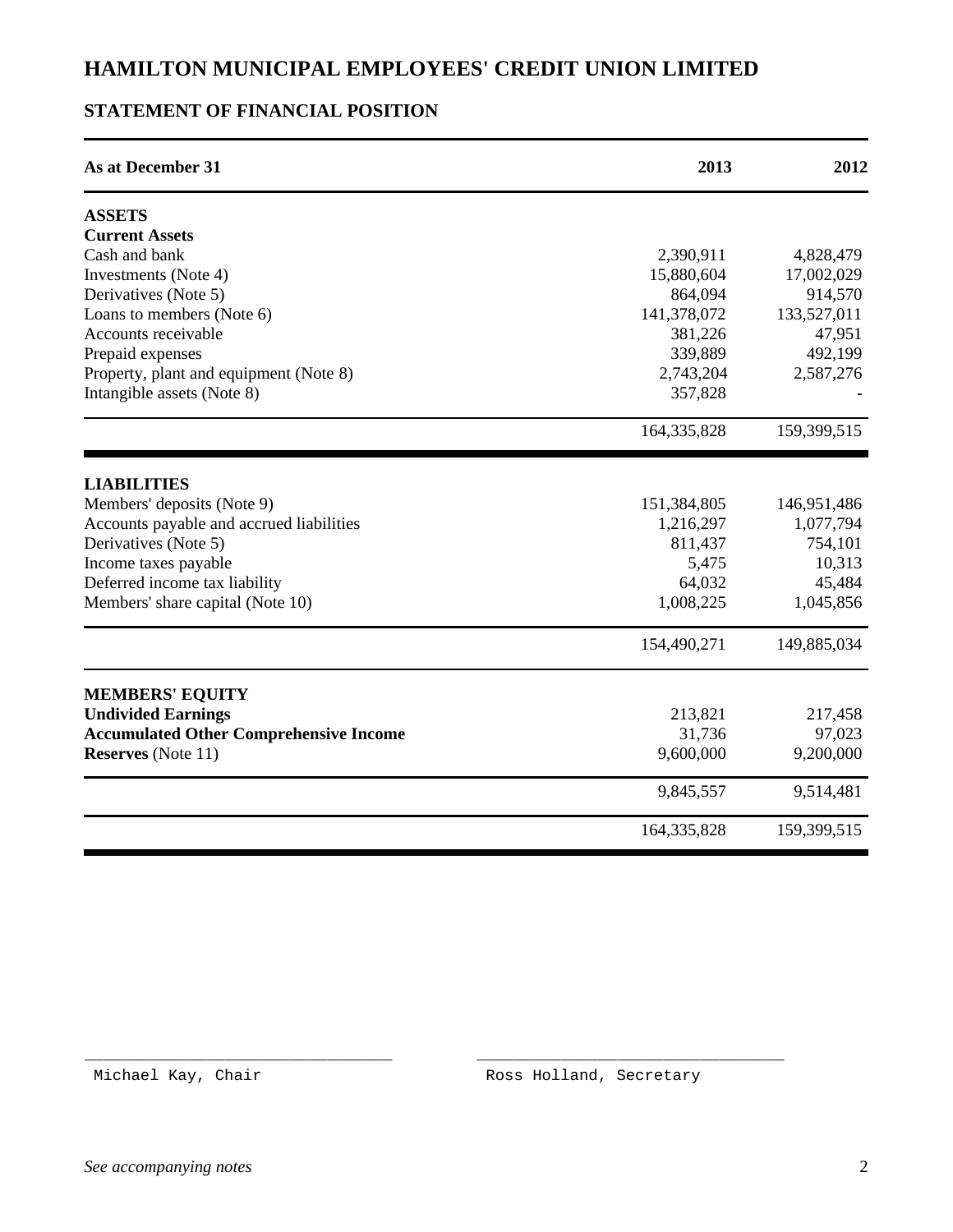# **STATEMENT OF FINANCIAL POSITION**

| As at December 31                             | 2013          | 2012        |
|-----------------------------------------------|---------------|-------------|
| <b>ASSETS</b>                                 |               |             |
| <b>Current Assets</b>                         |               |             |
| Cash and bank                                 | 2,390,911     | 4,828,479   |
| Investments (Note 4)                          | 15,880,604    | 17,002,029  |
| Derivatives (Note 5)                          | 864,094       | 914,570     |
| Loans to members (Note 6)                     | 141,378,072   | 133,527,011 |
| Accounts receivable                           | 381,226       | 47,951      |
| Prepaid expenses                              | 339,889       | 492,199     |
| Property, plant and equipment (Note 8)        | 2,743,204     | 2,587,276   |
| Intangible assets (Note 8)                    | 357,828       |             |
|                                               | 164, 335, 828 | 159,399,515 |
| <b>LIABILITIES</b>                            |               |             |
| Members' deposits (Note 9)                    | 151,384,805   | 146,951,486 |
| Accounts payable and accrued liabilities      | 1,216,297     | 1,077,794   |
| Derivatives (Note 5)                          | 811,437       | 754,101     |
| Income taxes payable                          | 5,475         | 10,313      |
| Deferred income tax liability                 | 64,032        | 45,484      |
| Members' share capital (Note 10)              | 1,008,225     | 1,045,856   |
|                                               | 154,490,271   | 149,885,034 |
| <b>MEMBERS' EQUITY</b>                        |               |             |
| <b>Undivided Earnings</b>                     | 213,821       | 217,458     |
| <b>Accumulated Other Comprehensive Income</b> | 31,736        | 97,023      |
| <b>Reserves</b> (Note 11)                     | 9,600,000     | 9,200,000   |
|                                               | 9,845,557     | 9,514,481   |
|                                               | 164,335,828   | 159,399,515 |

\_\_\_\_\_\_\_\_\_\_\_\_\_\_\_\_\_\_\_\_\_\_\_\_\_\_\_\_\_\_\_\_\_ \_\_\_\_\_\_\_\_\_\_\_\_\_\_\_\_\_\_\_\_\_\_\_\_\_\_\_\_\_\_\_\_\_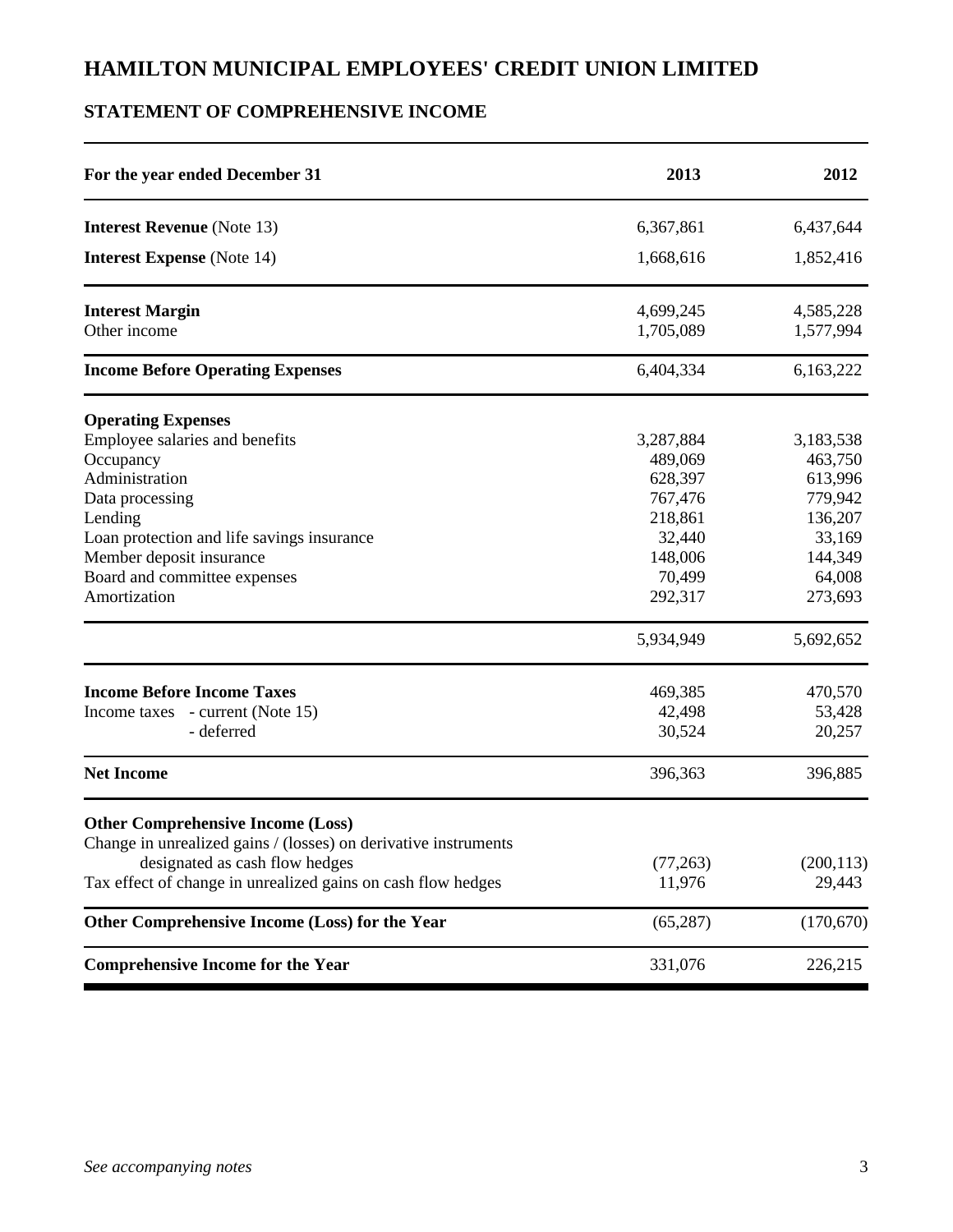# **STATEMENT OF COMPREHENSIVE INCOME**

| For the year ended December 31                                                                                                                                                                                                                                                                               | 2013                                                                                                                                        | 2012                                                                                                                                        |
|--------------------------------------------------------------------------------------------------------------------------------------------------------------------------------------------------------------------------------------------------------------------------------------------------------------|---------------------------------------------------------------------------------------------------------------------------------------------|---------------------------------------------------------------------------------------------------------------------------------------------|
| <b>Interest Revenue</b> (Note 13)                                                                                                                                                                                                                                                                            | 6,367,861                                                                                                                                   | 6,437,644                                                                                                                                   |
| <b>Interest Expense</b> (Note 14)                                                                                                                                                                                                                                                                            | 1,668,616                                                                                                                                   | 1,852,416                                                                                                                                   |
| <b>Interest Margin</b><br>Other income                                                                                                                                                                                                                                                                       | 4,699,245<br>1,705,089                                                                                                                      | 4,585,228<br>1,577,994                                                                                                                      |
| <b>Income Before Operating Expenses</b>                                                                                                                                                                                                                                                                      | 6,404,334                                                                                                                                   | 6,163,222                                                                                                                                   |
| <b>Operating Expenses</b>                                                                                                                                                                                                                                                                                    |                                                                                                                                             |                                                                                                                                             |
| Employee salaries and benefits<br>Occupancy<br>Administration<br>Data processing<br>Lending<br>Loan protection and life savings insurance<br>Member deposit insurance<br>Board and committee expenses<br>Amortization<br><b>Income Before Income Taxes</b><br>Income taxes - current (Note 15)<br>- deferred | 3,287,884<br>489,069<br>628,397<br>767,476<br>218,861<br>32,440<br>148,006<br>70,499<br>292,317<br>5,934,949<br>469,385<br>42,498<br>30,524 | 3,183,538<br>463,750<br>613,996<br>779,942<br>136,207<br>33,169<br>144,349<br>64,008<br>273,693<br>5,692,652<br>470,570<br>53,428<br>20,257 |
| <b>Net Income</b>                                                                                                                                                                                                                                                                                            | 396,363                                                                                                                                     | 396,885                                                                                                                                     |
| <b>Other Comprehensive Income (Loss)</b><br>Change in unrealized gains / (losses) on derivative instruments<br>designated as cash flow hedges<br>Tax effect of change in unrealized gains on cash flow hedges                                                                                                | (77, 263)<br>11,976                                                                                                                         | (200, 113)<br>29,443                                                                                                                        |
| Other Comprehensive Income (Loss) for the Year                                                                                                                                                                                                                                                               | (65, 287)                                                                                                                                   | (170, 670)                                                                                                                                  |
| <b>Comprehensive Income for the Year</b>                                                                                                                                                                                                                                                                     | 331,076                                                                                                                                     | 226,215                                                                                                                                     |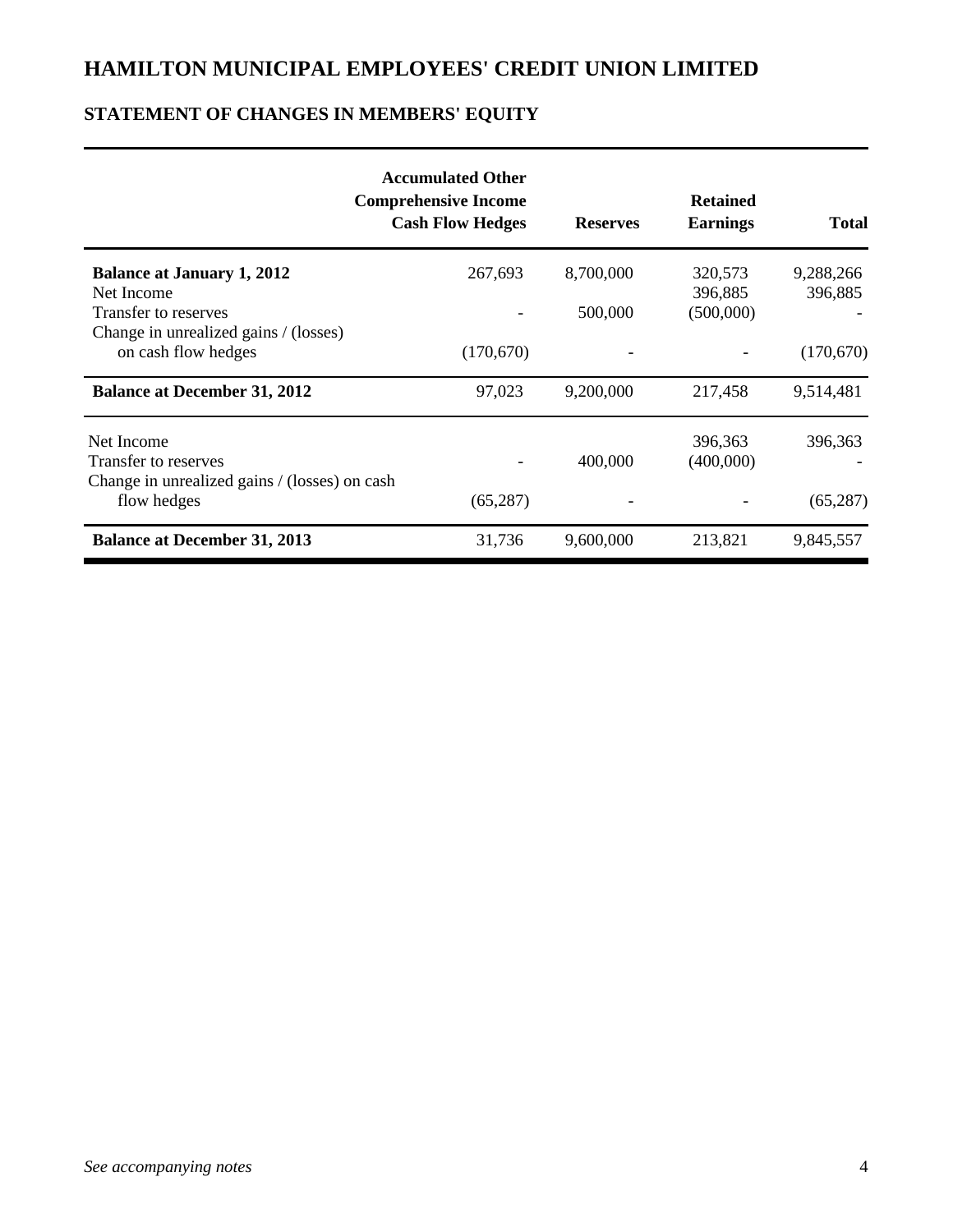# **STATEMENT OF CHANGES IN MEMBERS' EQUITY**

|                                               | <b>Accumulated Other</b><br><b>Comprehensive Income</b><br><b>Cash Flow Hedges</b> | <b>Reserves</b> | <b>Retained</b><br><b>Earnings</b> | <b>Total</b> |
|-----------------------------------------------|------------------------------------------------------------------------------------|-----------------|------------------------------------|--------------|
| <b>Balance at January 1, 2012</b>             | 267,693                                                                            | 8,700,000       | 320,573                            | 9,288,266    |
| Net Income                                    |                                                                                    |                 | 396,885                            | 396,885      |
| Transfer to reserves                          |                                                                                    | 500,000         | (500,000)                          |              |
| Change in unrealized gains / (losses)         |                                                                                    |                 |                                    |              |
| on cash flow hedges                           | (170,670)                                                                          |                 |                                    | (170,670)    |
| <b>Balance at December 31, 2012</b>           | 97,023                                                                             | 9,200,000       | 217,458                            | 9,514,481    |
| Net Income                                    |                                                                                    |                 | 396,363                            | 396,363      |
| Transfer to reserves                          |                                                                                    | 400,000         | (400,000)                          |              |
| Change in unrealized gains / (losses) on cash |                                                                                    |                 |                                    |              |
| flow hedges                                   | (65, 287)                                                                          |                 |                                    | (65, 287)    |
| <b>Balance at December 31, 2013</b>           | 31,736                                                                             | 9,600,000       | 213,821                            | 9,845,557    |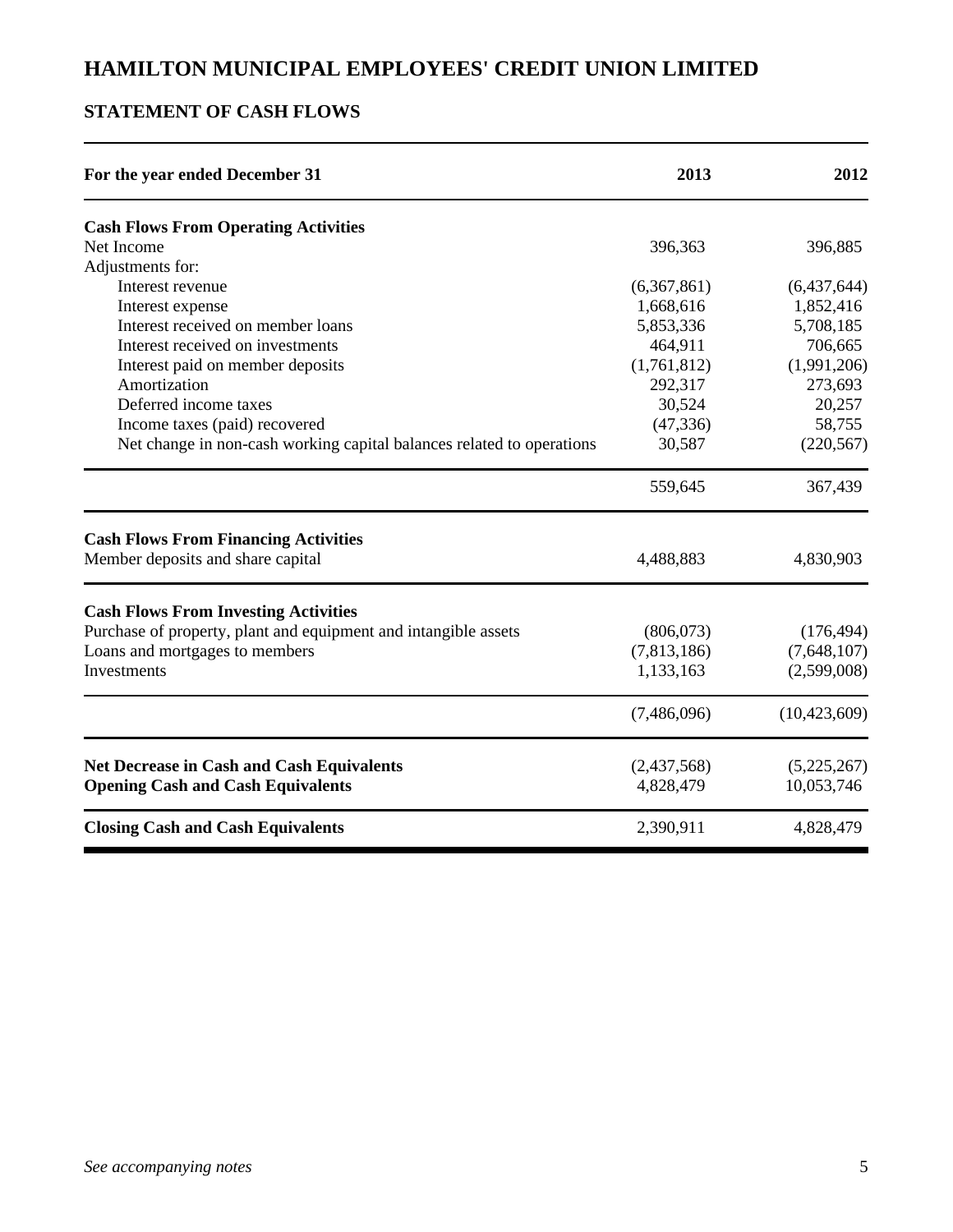# **STATEMENT OF CASH FLOWS**

| For the year ended December 31                                        | 2013        | 2012           |
|-----------------------------------------------------------------------|-------------|----------------|
| <b>Cash Flows From Operating Activities</b>                           |             |                |
| Net Income                                                            | 396,363     | 396,885        |
| Adjustments for:                                                      |             |                |
| Interest revenue                                                      | (6,367,861) | (6,437,644)    |
| Interest expense                                                      | 1,668,616   | 1,852,416      |
| Interest received on member loans                                     | 5,853,336   | 5,708,185      |
| Interest received on investments                                      | 464,911     | 706,665        |
| Interest paid on member deposits                                      | (1,761,812) | (1,991,206)    |
| Amortization                                                          | 292,317     | 273,693        |
| Deferred income taxes                                                 | 30,524      | 20,257         |
| Income taxes (paid) recovered                                         | (47, 336)   | 58,755         |
| Net change in non-cash working capital balances related to operations | 30,587      | (220, 567)     |
|                                                                       | 559,645     | 367,439        |
| <b>Cash Flows From Financing Activities</b>                           |             |                |
| Member deposits and share capital                                     | 4,488,883   | 4,830,903      |
| <b>Cash Flows From Investing Activities</b>                           |             |                |
| Purchase of property, plant and equipment and intangible assets       | (806,073)   | (176, 494)     |
| Loans and mortgages to members                                        | (7,813,186) | (7,648,107)    |
| Investments                                                           | 1,133,163   | (2,599,008)    |
|                                                                       | (7,486,096) | (10, 423, 609) |
| <b>Net Decrease in Cash and Cash Equivalents</b>                      | (2,437,568) | (5,225,267)    |
| <b>Opening Cash and Cash Equivalents</b>                              | 4,828,479   | 10,053,746     |
| <b>Closing Cash and Cash Equivalents</b>                              | 2,390,911   | 4,828,479      |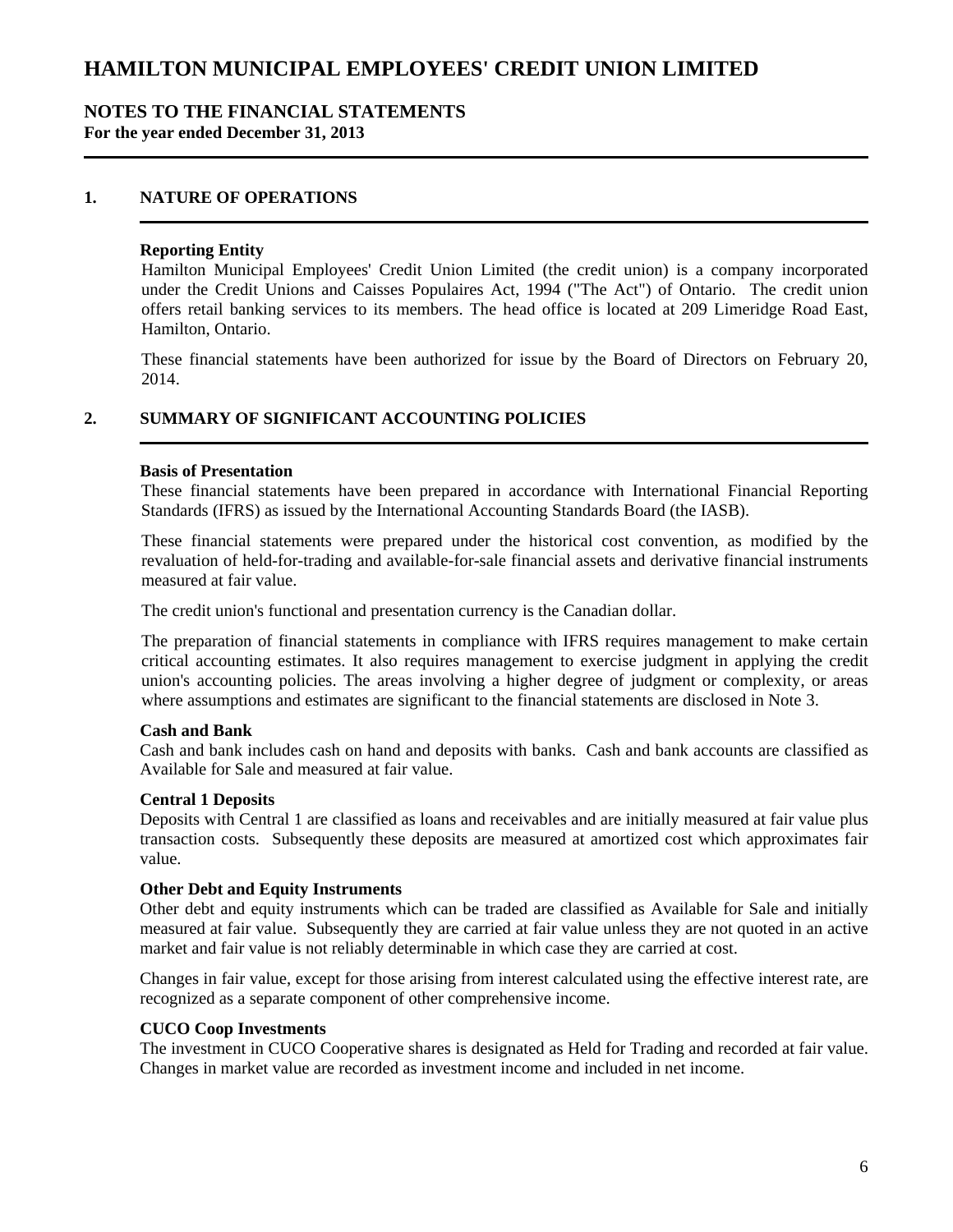## **NOTES TO THE FINANCIAL STATEMENTS For the year ended December 31, 2013**

### **1. NATURE OF OPERATIONS**

#### **Reporting Entity**

Hamilton Municipal Employees' Credit Union Limited (the credit union) is a company incorporated under the Credit Unions and Caisses Populaires Act, 1994 ("The Act") of Ontario. The credit union offers retail banking services to its members. The head office is located at 209 Limeridge Road East, Hamilton, Ontario.

These financial statements have been authorized for issue by the Board of Directors on February 20, 2014.

### **2. SUMMARY OF SIGNIFICANT ACCOUNTING POLICIES**

#### **Basis of Presentation**

These financial statements have been prepared in accordance with International Financial Reporting Standards (IFRS) as issued by the International Accounting Standards Board (the IASB).

These financial statements were prepared under the historical cost convention, as modified by the revaluation of held-for-trading and available-for-sale financial assets and derivative financial instruments measured at fair value.

The credit union's functional and presentation currency is the Canadian dollar.

The preparation of financial statements in compliance with IFRS requires management to make certain critical accounting estimates. It also requires management to exercise judgment in applying the credit union's accounting policies. The areas involving a higher degree of judgment or complexity, or areas where assumptions and estimates are significant to the financial statements are disclosed in Note 3.

### **Cash and Bank**

Cash and bank includes cash on hand and deposits with banks. Cash and bank accounts are classified as Available for Sale and measured at fair value.

### **Central 1 Deposits**

Deposits with Central 1 are classified as loans and receivables and are initially measured at fair value plus transaction costs. Subsequently these deposits are measured at amortized cost which approximates fair value.

### **Other Debt and Equity Instruments**

Other debt and equity instruments which can be traded are classified as Available for Sale and initially measured at fair value. Subsequently they are carried at fair value unless they are not quoted in an active market and fair value is not reliably determinable in which case they are carried at cost.

Changes in fair value, except for those arising from interest calculated using the effective interest rate, are recognized as a separate component of other comprehensive income.

### **CUCO Coop Investments**

The investment in CUCO Cooperative shares is designated as Held for Trading and recorded at fair value. Changes in market value are recorded as investment income and included in net income.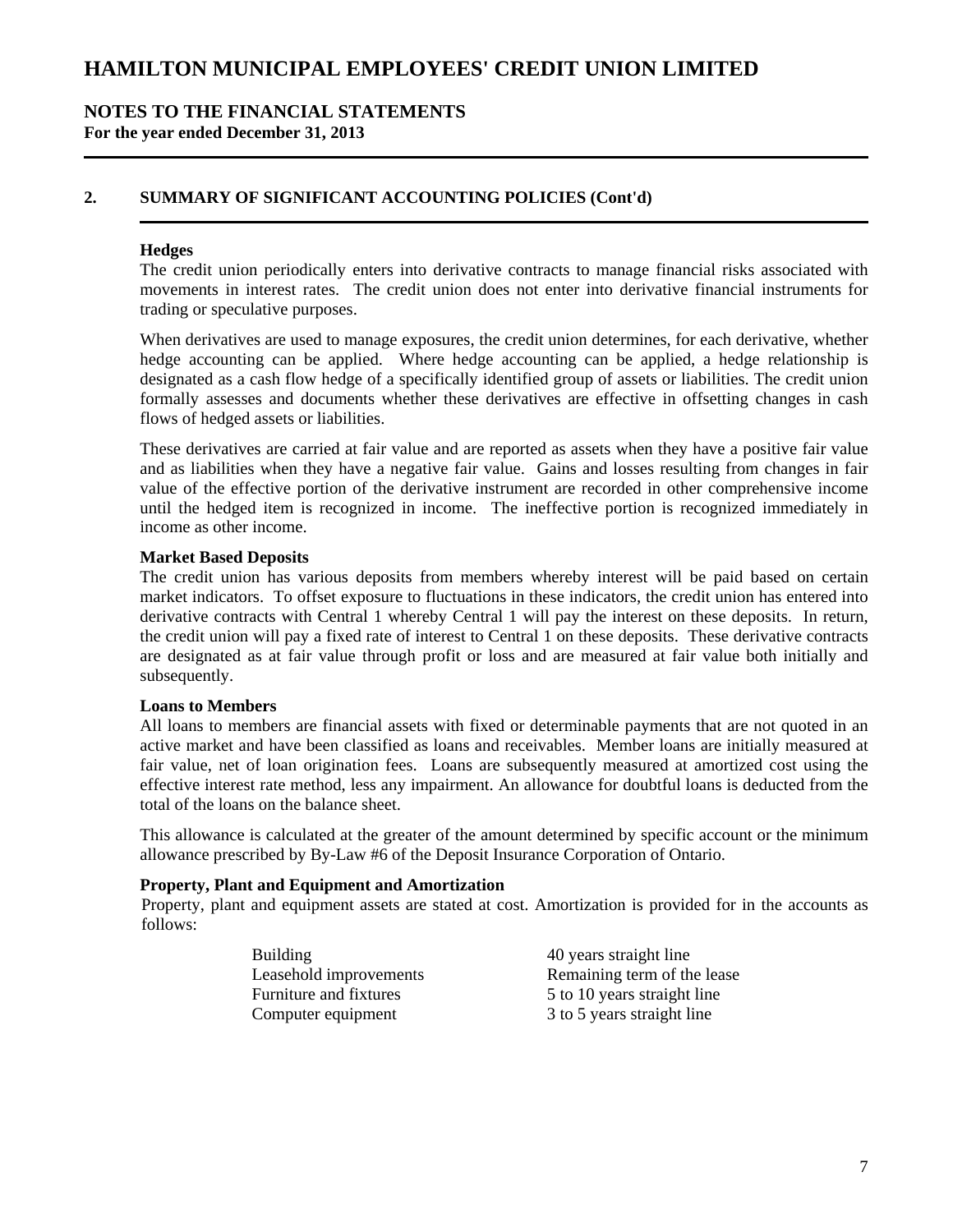## **NOTES TO THE FINANCIAL STATEMENTS For the year ended December 31, 2013**

## **2. SUMMARY OF SIGNIFICANT ACCOUNTING POLICIES (Cont'd)**

## **Hedges**

The credit union periodically enters into derivative contracts to manage financial risks associated with movements in interest rates. The credit union does not enter into derivative financial instruments for trading or speculative purposes.

When derivatives are used to manage exposures, the credit union determines, for each derivative, whether hedge accounting can be applied. Where hedge accounting can be applied, a hedge relationship is designated as a cash flow hedge of a specifically identified group of assets or liabilities. The credit union formally assesses and documents whether these derivatives are effective in offsetting changes in cash flows of hedged assets or liabilities.

These derivatives are carried at fair value and are reported as assets when they have a positive fair value and as liabilities when they have a negative fair value. Gains and losses resulting from changes in fair value of the effective portion of the derivative instrument are recorded in other comprehensive income until the hedged item is recognized in income. The ineffective portion is recognized immediately in income as other income.

#### **Market Based Deposits**

The credit union has various deposits from members whereby interest will be paid based on certain market indicators. To offset exposure to fluctuations in these indicators, the credit union has entered into derivative contracts with Central 1 whereby Central 1 will pay the interest on these deposits. In return, the credit union will pay a fixed rate of interest to Central 1 on these deposits. These derivative contracts are designated as at fair value through profit or loss and are measured at fair value both initially and subsequently.

### **Loans to Members**

All loans to members are financial assets with fixed or determinable payments that are not quoted in an active market and have been classified as loans and receivables. Member loans are initially measured at fair value, net of loan origination fees. Loans are subsequently measured at amortized cost using the effective interest rate method, less any impairment. An allowance for doubtful loans is deducted from the total of the loans on the balance sheet.

This allowance is calculated at the greater of the amount determined by specific account or the minimum allowance prescribed by By-Law #6 of the Deposit Insurance Corporation of Ontario.

### **Property, Plant and Equipment and Amortization**

Property, plant and equipment assets are stated at cost. Amortization is provided for in the accounts as follows:

| <b>Building</b>        | 40 years straight line      |
|------------------------|-----------------------------|
| Leasehold improvements | Remaining term of the lease |
| Furniture and fixtures | 5 to 10 years straight line |
| Computer equipment     | 3 to 5 years straight line  |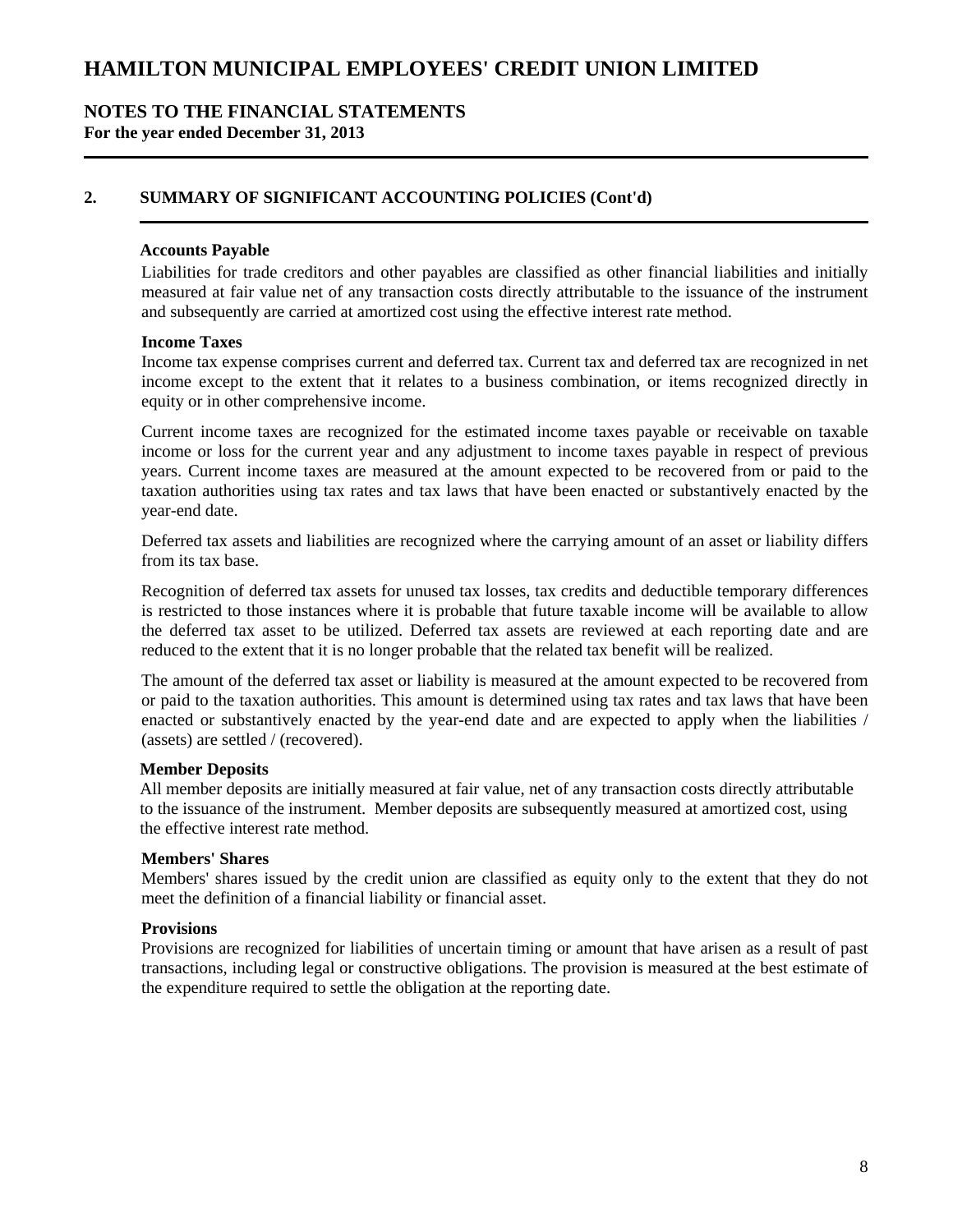## **NOTES TO THE FINANCIAL STATEMENTS For the year ended December 31, 2013**

## **2. SUMMARY OF SIGNIFICANT ACCOUNTING POLICIES (Cont'd)**

### **Accounts Payable**

Liabilities for trade creditors and other payables are classified as other financial liabilities and initially measured at fair value net of any transaction costs directly attributable to the issuance of the instrument and subsequently are carried at amortized cost using the effective interest rate method.

### **Income Taxes**

Income tax expense comprises current and deferred tax. Current tax and deferred tax are recognized in net income except to the extent that it relates to a business combination, or items recognized directly in equity or in other comprehensive income.

Current income taxes are recognized for the estimated income taxes payable or receivable on taxable income or loss for the current year and any adjustment to income taxes payable in respect of previous years. Current income taxes are measured at the amount expected to be recovered from or paid to the taxation authorities using tax rates and tax laws that have been enacted or substantively enacted by the year-end date.

Deferred tax assets and liabilities are recognized where the carrying amount of an asset or liability differs from its tax base.

Recognition of deferred tax assets for unused tax losses, tax credits and deductible temporary differences is restricted to those instances where it is probable that future taxable income will be available to allow the deferred tax asset to be utilized. Deferred tax assets are reviewed at each reporting date and are reduced to the extent that it is no longer probable that the related tax benefit will be realized.

The amount of the deferred tax asset or liability is measured at the amount expected to be recovered from or paid to the taxation authorities. This amount is determined using tax rates and tax laws that have been enacted or substantively enacted by the year-end date and are expected to apply when the liabilities / (assets) are settled / (recovered).

### **Member Deposits**

All member deposits are initially measured at fair value, net of any transaction costs directly attributable to the issuance of the instrument. Member deposits are subsequently measured at amortized cost, using the effective interest rate method.

### **Members' Shares**

Members' shares issued by the credit union are classified as equity only to the extent that they do not meet the definition of a financial liability or financial asset.

### **Provisions**

Provisions are recognized for liabilities of uncertain timing or amount that have arisen as a result of past transactions, including legal or constructive obligations. The provision is measured at the best estimate of the expenditure required to settle the obligation at the reporting date.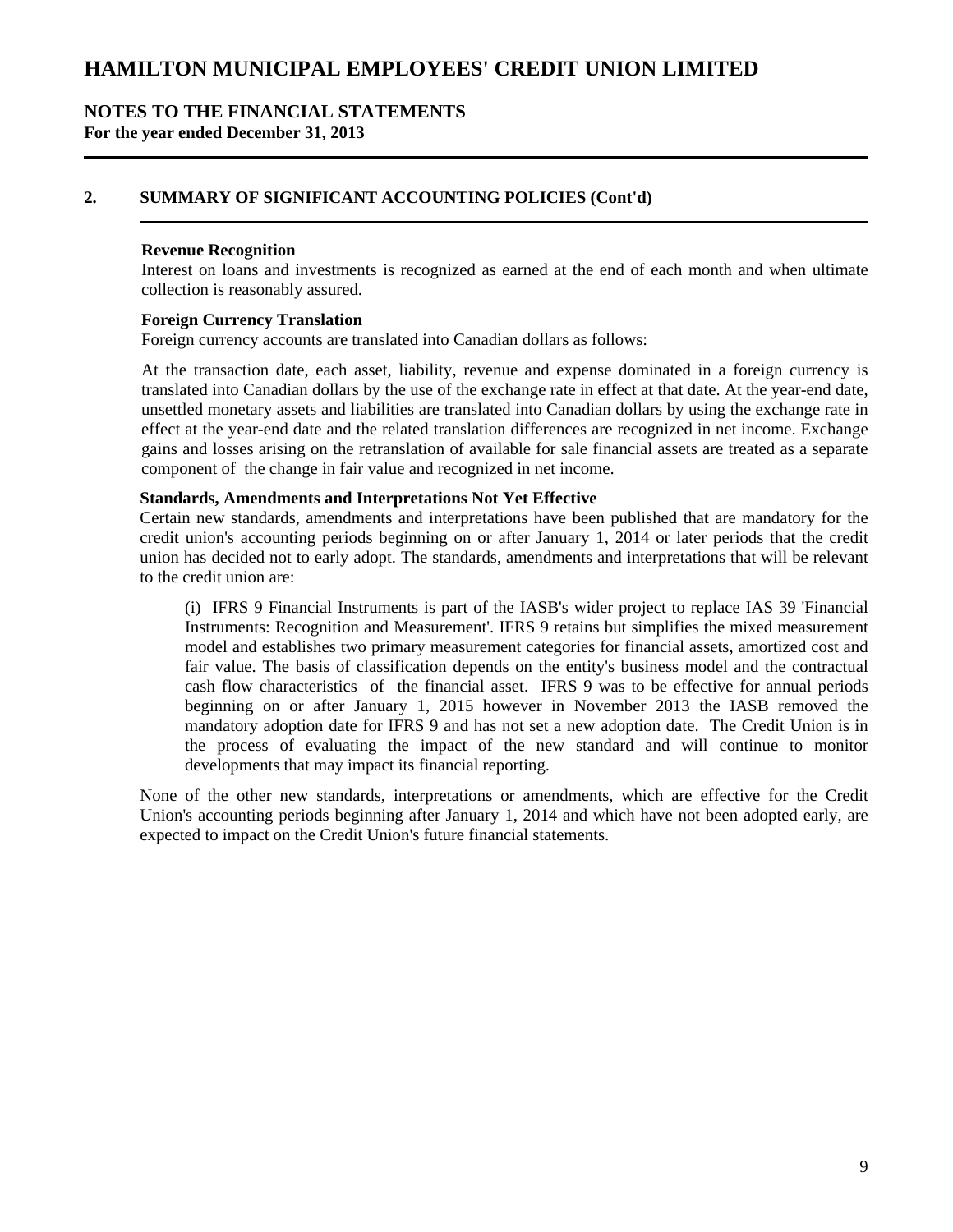## **NOTES TO THE FINANCIAL STATEMENTS For the year ended December 31, 2013**

## **2. SUMMARY OF SIGNIFICANT ACCOUNTING POLICIES (Cont'd)**

### **Revenue Recognition**

Interest on loans and investments is recognized as earned at the end of each month and when ultimate collection is reasonably assured.

### **Foreign Currency Translation**

Foreign currency accounts are translated into Canadian dollars as follows:

At the transaction date, each asset, liability, revenue and expense dominated in a foreign currency is translated into Canadian dollars by the use of the exchange rate in effect at that date. At the year-end date, unsettled monetary assets and liabilities are translated into Canadian dollars by using the exchange rate in effect at the year-end date and the related translation differences are recognized in net income. Exchange gains and losses arising on the retranslation of available for sale financial assets are treated as a separate component of the change in fair value and recognized in net income.

### **Standards, Amendments and Interpretations Not Yet Effective**

Certain new standards, amendments and interpretations have been published that are mandatory for the credit union's accounting periods beginning on or after January 1, 2014 or later periods that the credit union has decided not to early adopt. The standards, amendments and interpretations that will be relevant to the credit union are:

(i) IFRS 9 Financial Instruments is part of the IASB's wider project to replace IAS 39 'Financial Instruments: Recognition and Measurement'. IFRS 9 retains but simplifies the mixed measurement model and establishes two primary measurement categories for financial assets, amortized cost and fair value. The basis of classification depends on the entity's business model and the contractual cash flow characteristics of the financial asset. IFRS 9 was to be effective for annual periods beginning on or after January 1, 2015 however in November 2013 the IASB removed the mandatory adoption date for IFRS 9 and has not set a new adoption date. The Credit Union is in the process of evaluating the impact of the new standard and will continue to monitor developments that may impact its financial reporting.

None of the other new standards, interpretations or amendments, which are effective for the Credit Union's accounting periods beginning after January 1, 2014 and which have not been adopted early, are expected to impact on the Credit Union's future financial statements.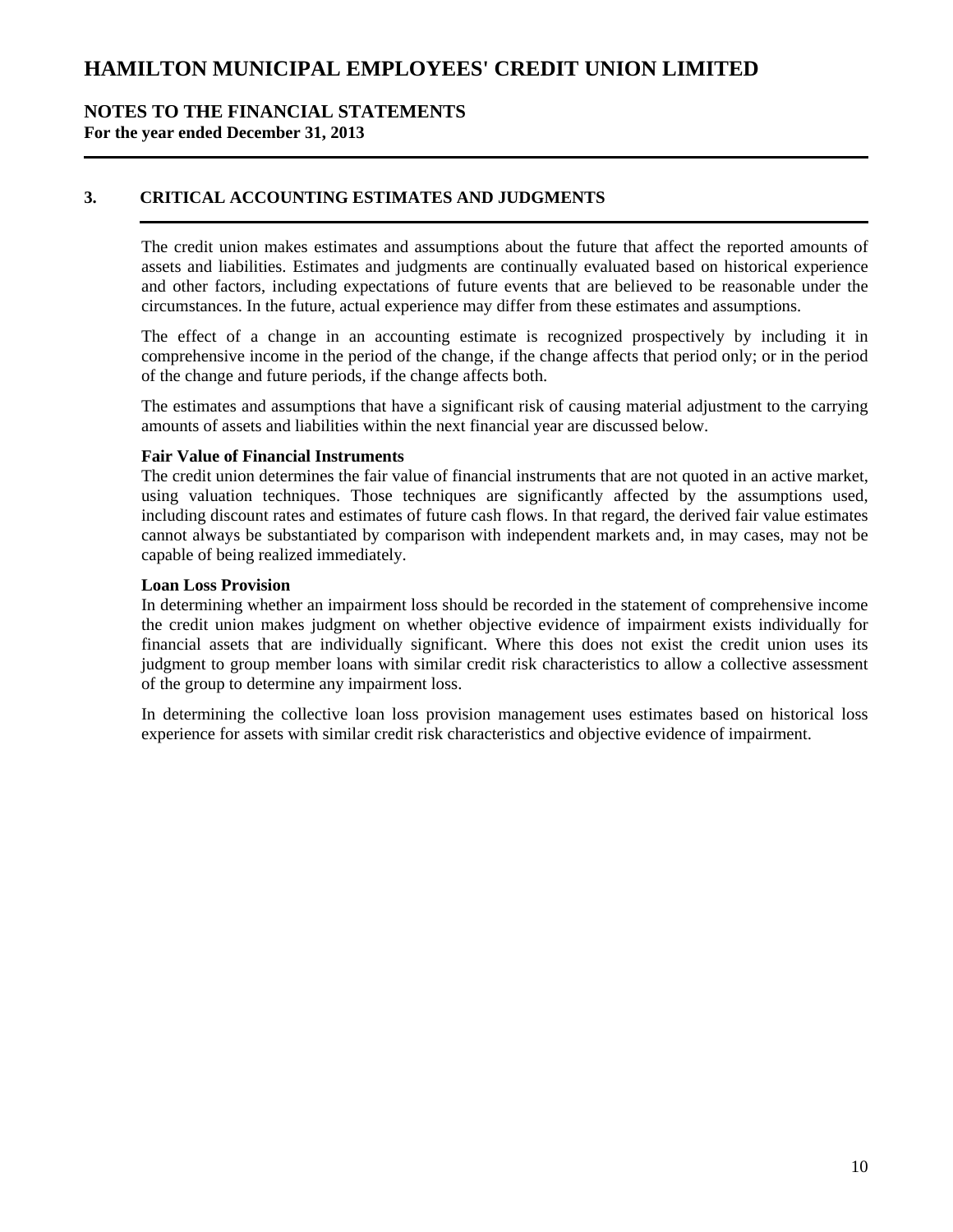## **NOTES TO THE FINANCIAL STATEMENTS For the year ended December 31, 2013**

## **3. CRITICAL ACCOUNTING ESTIMATES AND JUDGMENTS**

The credit union makes estimates and assumptions about the future that affect the reported amounts of assets and liabilities. Estimates and judgments are continually evaluated based on historical experience and other factors, including expectations of future events that are believed to be reasonable under the circumstances. In the future, actual experience may differ from these estimates and assumptions.

The effect of a change in an accounting estimate is recognized prospectively by including it in comprehensive income in the period of the change, if the change affects that period only; or in the period of the change and future periods, if the change affects both.

The estimates and assumptions that have a significant risk of causing material adjustment to the carrying amounts of assets and liabilities within the next financial year are discussed below.

### **Fair Value of Financial Instruments**

The credit union determines the fair value of financial instruments that are not quoted in an active market, using valuation techniques. Those techniques are significantly affected by the assumptions used, including discount rates and estimates of future cash flows. In that regard, the derived fair value estimates cannot always be substantiated by comparison with independent markets and, in may cases, may not be capable of being realized immediately.

### **Loan Loss Provision**

In determining whether an impairment loss should be recorded in the statement of comprehensive income the credit union makes judgment on whether objective evidence of impairment exists individually for financial assets that are individually significant. Where this does not exist the credit union uses its judgment to group member loans with similar credit risk characteristics to allow a collective assessment of the group to determine any impairment loss.

In determining the collective loan loss provision management uses estimates based on historical loss experience for assets with similar credit risk characteristics and objective evidence of impairment.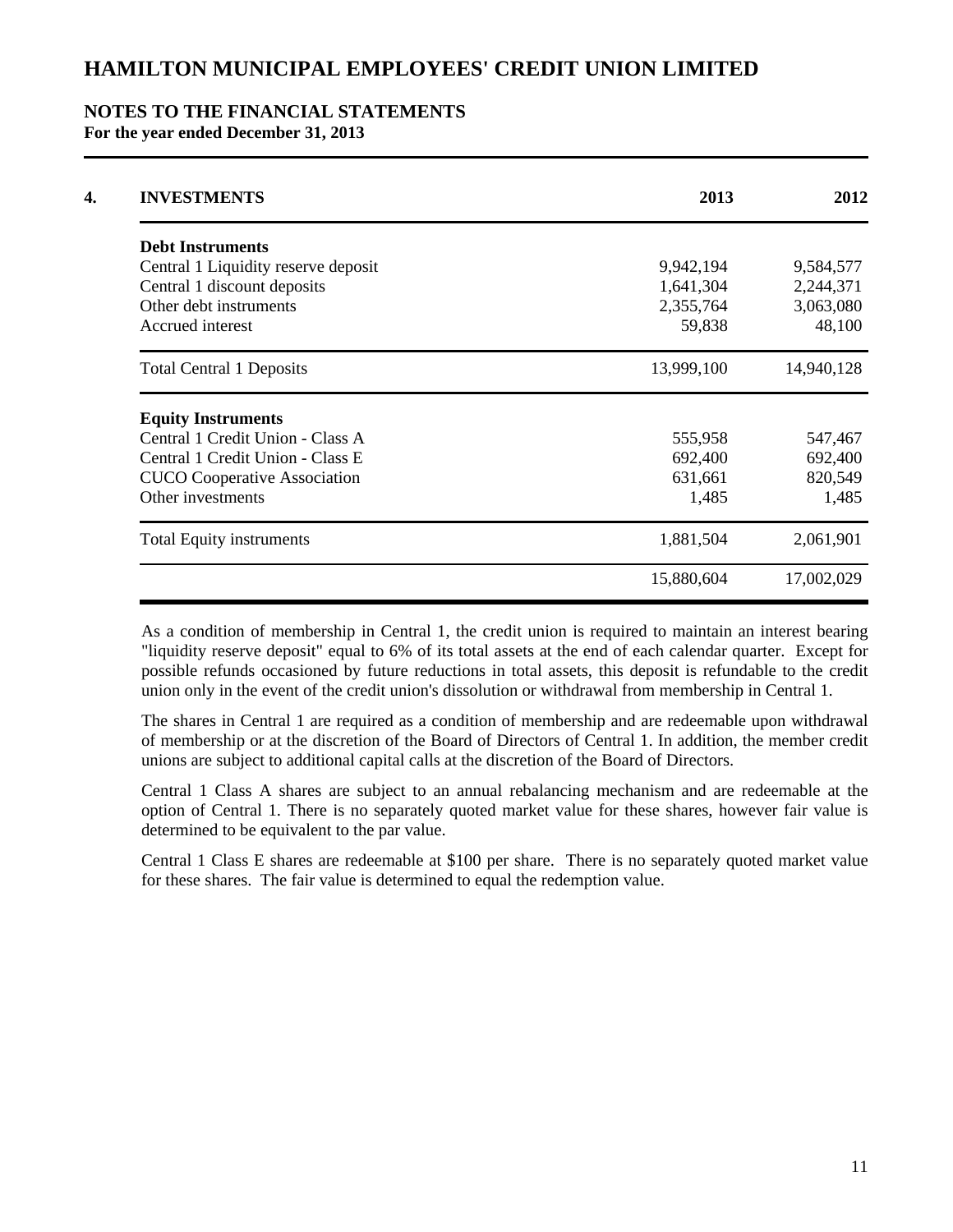## **NOTES TO THE FINANCIAL STATEMENTS For the year ended December 31, 2013**

| <b>INVESTMENTS</b>                  | 2013       | 2012       |
|-------------------------------------|------------|------------|
| <b>Debt Instruments</b>             |            |            |
| Central 1 Liquidity reserve deposit | 9,942,194  | 9,584,577  |
| Central 1 discount deposits         | 1,641,304  | 2,244,371  |
| Other debt instruments              | 2,355,764  | 3,063,080  |
| Accrued interest                    | 59,838     | 48,100     |
| <b>Total Central 1 Deposits</b>     | 13,999,100 | 14,940,128 |
| <b>Equity Instruments</b>           |            |            |
| Central 1 Credit Union - Class A    | 555,958    | 547,467    |
| Central 1 Credit Union - Class E    | 692,400    | 692,400    |
| <b>CUCO</b> Cooperative Association | 631,661    | 820,549    |
| Other investments                   | 1,485      | 1,485      |
| <b>Total Equity instruments</b>     | 1,881,504  | 2,061,901  |
|                                     | 15,880,604 | 17,002,029 |

As a condition of membership in Central 1, the credit union is required to maintain an interest bearing "liquidity reserve deposit" equal to 6% of its total assets at the end of each calendar quarter. Except for possible refunds occasioned by future reductions in total assets, this deposit is refundable to the credit union only in the event of the credit union's dissolution or withdrawal from membership in Central 1.

The shares in Central 1 are required as a condition of membership and are redeemable upon withdrawal of membership or at the discretion of the Board of Directors of Central 1. In addition, the member credit unions are subject to additional capital calls at the discretion of the Board of Directors.

Central 1 Class A shares are subject to an annual rebalancing mechanism and are redeemable at the option of Central 1. There is no separately quoted market value for these shares, however fair value is determined to be equivalent to the par value.

Central 1 Class E shares are redeemable at \$100 per share. There is no separately quoted market value for these shares. The fair value is determined to equal the redemption value.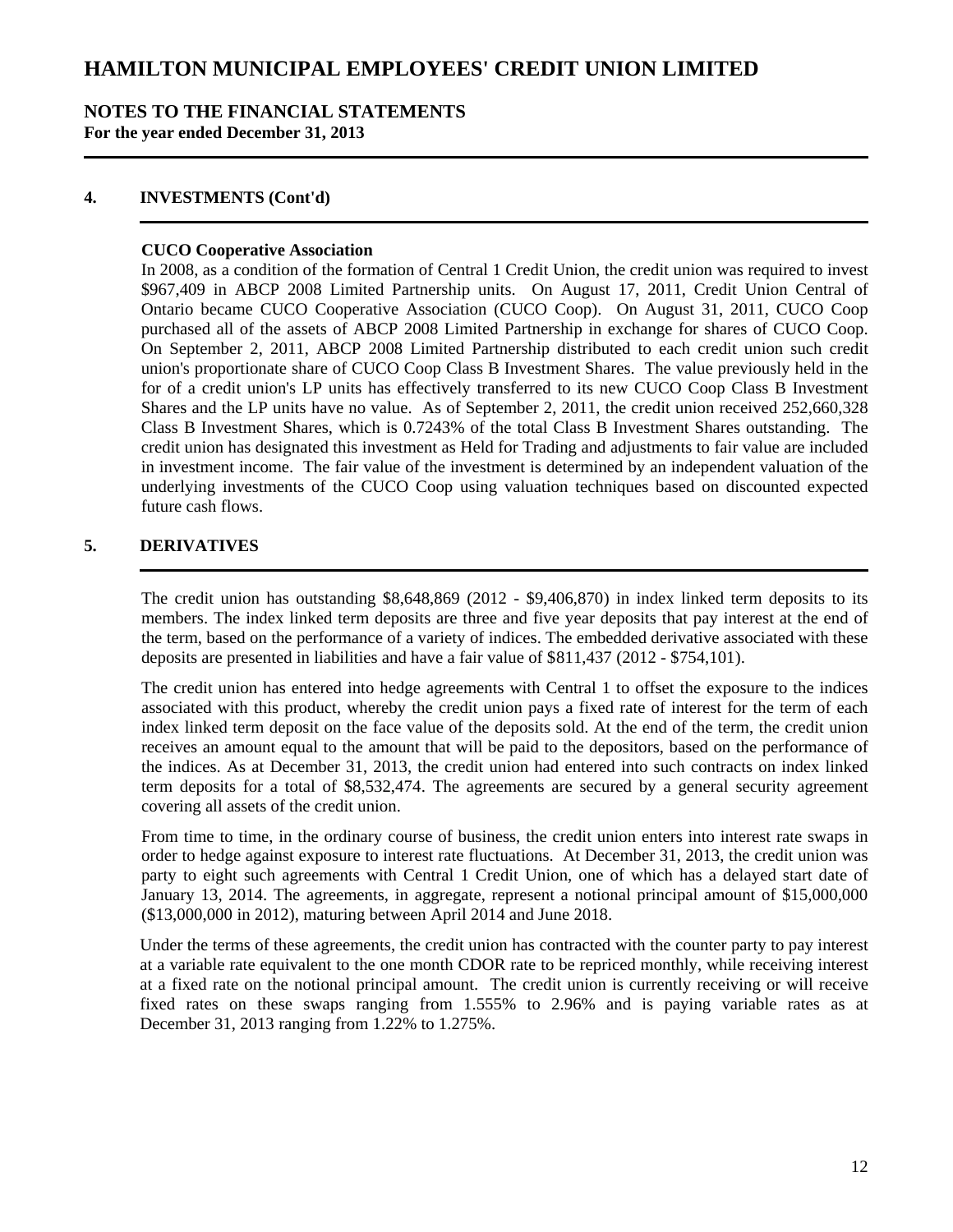## **NOTES TO THE FINANCIAL STATEMENTS For the year ended December 31, 2013**

## **4. INVESTMENTS (Cont'd)**

### **CUCO Cooperative Association**

In 2008, as a condition of the formation of Central 1 Credit Union, the credit union was required to invest \$967,409 in ABCP 2008 Limited Partnership units. On August 17, 2011, Credit Union Central of Ontario became CUCO Cooperative Association (CUCO Coop). On August 31, 2011, CUCO Coop purchased all of the assets of ABCP 2008 Limited Partnership in exchange for shares of CUCO Coop. On September 2, 2011, ABCP 2008 Limited Partnership distributed to each credit union such credit union's proportionate share of CUCO Coop Class B Investment Shares. The value previously held in the for of a credit union's LP units has effectively transferred to its new CUCO Coop Class B Investment Shares and the LP units have no value. As of September 2, 2011, the credit union received 252,660,328 Class B Investment Shares, which is 0.7243% of the total Class B Investment Shares outstanding. The credit union has designated this investment as Held for Trading and adjustments to fair value are included in investment income. The fair value of the investment is determined by an independent valuation of the underlying investments of the CUCO Coop using valuation techniques based on discounted expected future cash flows.

### **5. DERIVATIVES**

The credit union has outstanding \$8,648,869 (2012 - \$9,406,870) in index linked term deposits to its members. The index linked term deposits are three and five year deposits that pay interest at the end of the term, based on the performance of a variety of indices. The embedded derivative associated with these deposits are presented in liabilities and have a fair value of \$811,437 (2012 - \$754,101).

The credit union has entered into hedge agreements with Central 1 to offset the exposure to the indices associated with this product, whereby the credit union pays a fixed rate of interest for the term of each index linked term deposit on the face value of the deposits sold. At the end of the term, the credit union receives an amount equal to the amount that will be paid to the depositors, based on the performance of the indices. As at December 31, 2013, the credit union had entered into such contracts on index linked term deposits for a total of \$8,532,474. The agreements are secured by a general security agreement covering all assets of the credit union.

From time to time, in the ordinary course of business, the credit union enters into interest rate swaps in order to hedge against exposure to interest rate fluctuations. At December 31, 2013, the credit union was party to eight such agreements with Central 1 Credit Union, one of which has a delayed start date of January 13, 2014. The agreements, in aggregate, represent a notional principal amount of \$15,000,000 (\$13,000,000 in 2012), maturing between April 2014 and June 2018.

Under the terms of these agreements, the credit union has contracted with the counter party to pay interest at a variable rate equivalent to the one month CDOR rate to be repriced monthly, while receiving interest at a fixed rate on the notional principal amount. The credit union is currently receiving or will receive fixed rates on these swaps ranging from 1.555% to 2.96% and is paying variable rates as at December 31, 2013 ranging from 1.22% to 1.275%.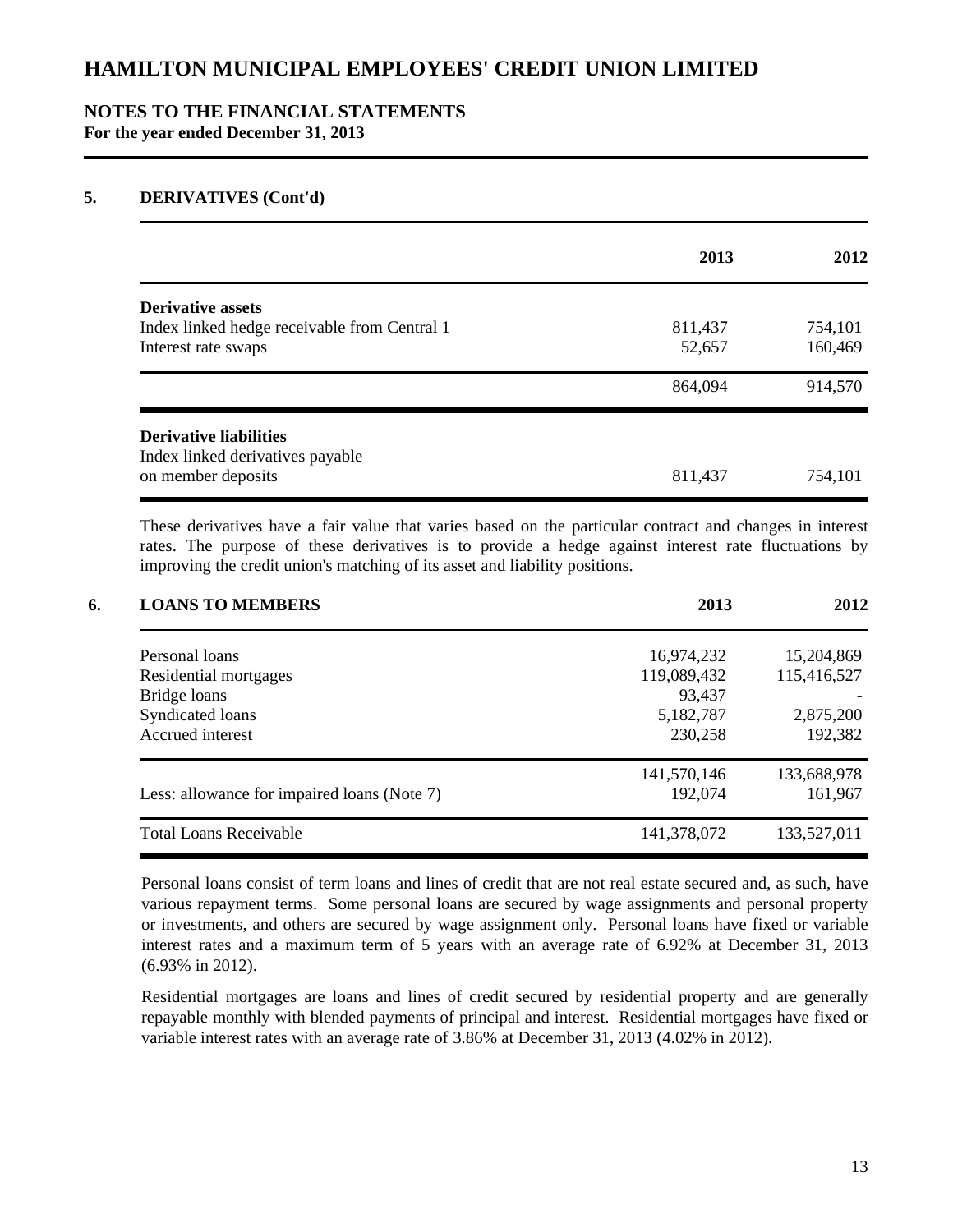### **NOTES TO THE FINANCIAL STATEMENTS For the year ended December 31, 2013**

## **5. DERIVATIVES (Cont'd)**

|                                                        | 2013    | 2012    |
|--------------------------------------------------------|---------|---------|
| <b>Derivative assets</b>                               |         |         |
| Index linked hedge receivable from Central 1           | 811,437 | 754,101 |
| Interest rate swaps                                    | 52,657  | 160,469 |
|                                                        | 864,094 | 914,570 |
| <b>Derivative liabilities</b>                          |         |         |
| Index linked derivatives payable<br>on member deposits | 811,437 | 754,101 |

These derivatives have a fair value that varies based on the particular contract and changes in interest rates. The purpose of these derivatives is to provide a hedge against interest rate fluctuations by improving the credit union's matching of its asset and liability positions.

| <b>LOANS TO MEMBERS</b>                     | 2013        | 2012        |
|---------------------------------------------|-------------|-------------|
| Personal loans                              | 16,974,232  | 15,204,869  |
| Residential mortgages                       | 119,089,432 | 115,416,527 |
| Bridge loans                                | 93,437      |             |
| Syndicated loans                            | 5,182,787   | 2,875,200   |
| Accrued interest                            | 230,258     | 192,382     |
|                                             | 141,570,146 | 133,688,978 |
| Less: allowance for impaired loans (Note 7) | 192,074     | 161,967     |
| <b>Total Loans Receivable</b>               | 141,378,072 | 133,527,011 |

Personal loans consist of term loans and lines of credit that are not real estate secured and, as such, have various repayment terms. Some personal loans are secured by wage assignments and personal property or investments, and others are secured by wage assignment only. Personal loans have fixed or variable interest rates and a maximum term of 5 years with an average rate of 6.92% at December 31, 2013 (6.93% in 2012).

Residential mortgages are loans and lines of credit secured by residential property and are generally repayable monthly with blended payments of principal and interest. Residential mortgages have fixed or variable interest rates with an average rate of 3.86% at December 31, 2013 (4.02% in 2012).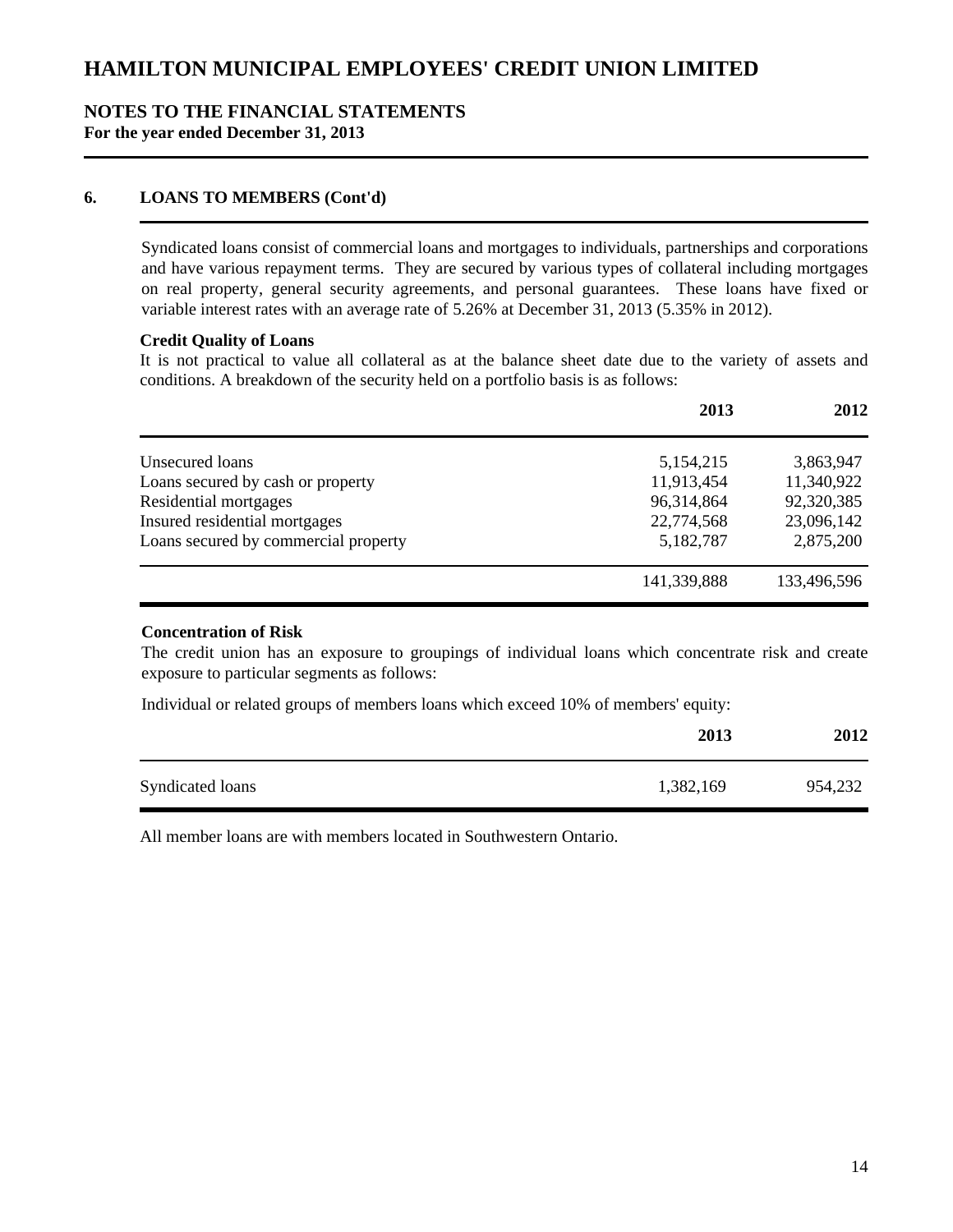## **NOTES TO THE FINANCIAL STATEMENTS For the year ended December 31, 2013**

## **6. LOANS TO MEMBERS (Cont'd)**

Syndicated loans consist of commercial loans and mortgages to individuals, partnerships and corporations and have various repayment terms. They are secured by various types of collateral including mortgages on real property, general security agreements, and personal guarantees. These loans have fixed or variable interest rates with an average rate of 5.26% at December 31, 2013 (5.35% in 2012).

### **Credit Quality of Loans**

It is not practical to value all collateral as at the balance sheet date due to the variety of assets and conditions. A breakdown of the security held on a portfolio basis is as follows:

|                                      | 2013        | 2012        |
|--------------------------------------|-------------|-------------|
| Unsecured loans                      | 5,154,215   | 3,863,947   |
| Loans secured by cash or property    | 11,913,454  | 11,340,922  |
| Residential mortgages                | 96,314,864  | 92,320,385  |
| Insured residential mortgages        | 22,774,568  | 23,096,142  |
| Loans secured by commercial property | 5,182,787   | 2,875,200   |
|                                      | 141,339,888 | 133,496,596 |

### **Concentration of Risk**

The credit union has an exposure to groupings of individual loans which concentrate risk and create exposure to particular segments as follows:

Individual or related groups of members loans which exceed 10% of members' equity:

|                  | 2013      | 2012    |
|------------------|-----------|---------|
| Syndicated loans | 1,382,169 | 954,232 |

All member loans are with members located in Southwestern Ontario.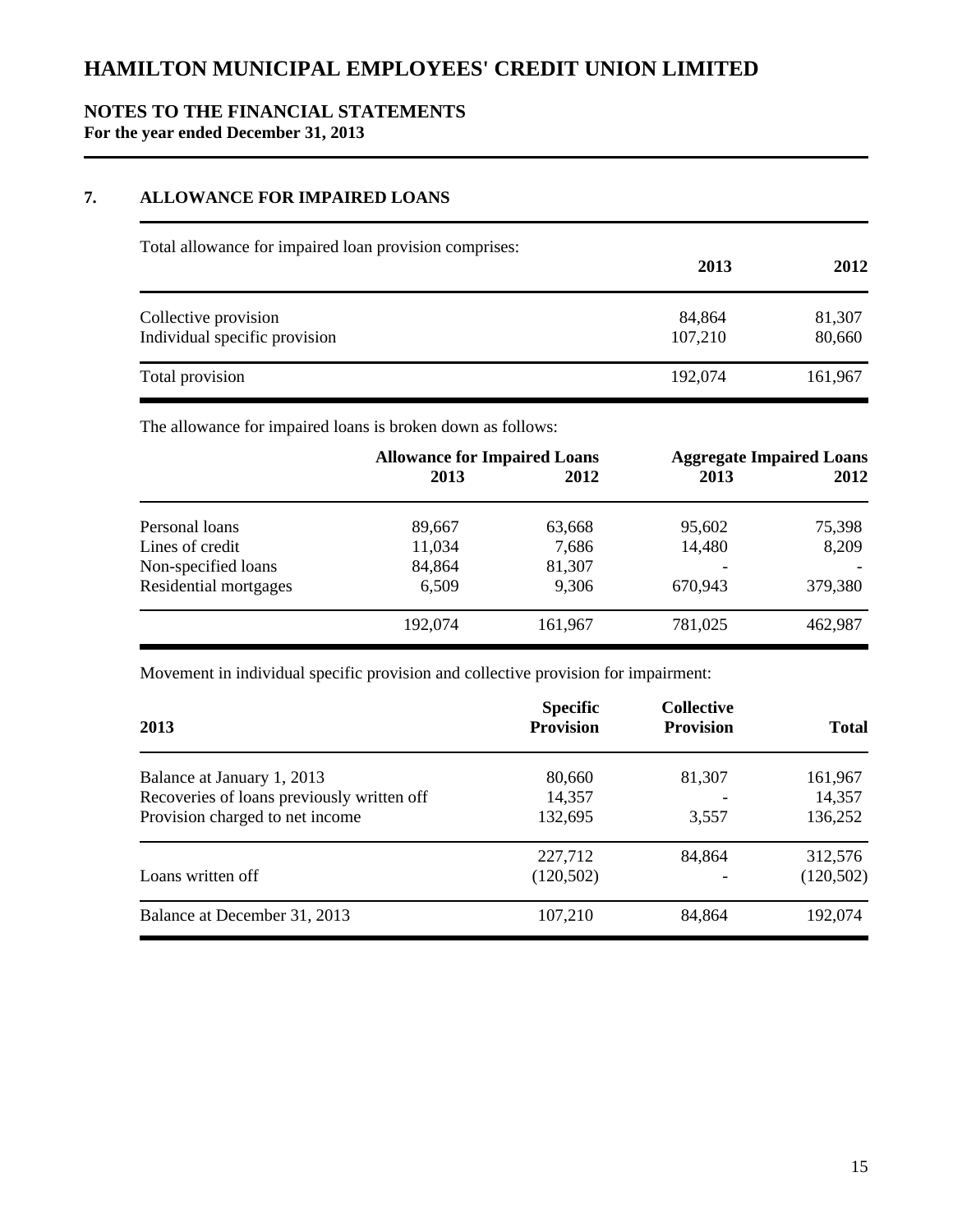## **NOTES TO THE FINANCIAL STATEMENTS For the year ended December 31, 2013**

## **7. ALLOWANCE FOR IMPAIRED LOANS**

| Total allowance for impaired loan provision comprises: | 2013              | 2012             |
|--------------------------------------------------------|-------------------|------------------|
| Collective provision<br>Individual specific provision  | 84,864<br>107,210 | 81,307<br>80,660 |
| Total provision                                        | 192,074           | 161,967          |

The allowance for impaired loans is broken down as follows:

|                       | <b>Allowance for Impaired Loans</b><br>2013<br>2012 |         |         |         |  | <b>Aggregate Impaired Loans</b><br>2012 |
|-----------------------|-----------------------------------------------------|---------|---------|---------|--|-----------------------------------------|
| Personal loans        | 89,667                                              | 63,668  | 95,602  | 75,398  |  |                                         |
| Lines of credit       | 11,034                                              | 7,686   | 14,480  | 8,209   |  |                                         |
| Non-specified loans   | 84,864                                              | 81,307  |         |         |  |                                         |
| Residential mortgages | 6,509                                               | 9,306   | 670,943 | 379,380 |  |                                         |
|                       | 192,074                                             | 161,967 | 781,025 | 462,987 |  |                                         |

Movement in individual specific provision and collective provision for impairment:

| 2013                                       | <b>Specific</b><br><b>Provision</b> | <b>Collective</b><br><b>Provision</b> | <b>Total</b> |
|--------------------------------------------|-------------------------------------|---------------------------------------|--------------|
| Balance at January 1, 2013                 | 80,660                              | 81,307                                | 161,967      |
| Recoveries of loans previously written off | 14,357                              |                                       | 14,357       |
| Provision charged to net income            | 132,695                             | 3,557                                 | 136,252      |
|                                            | 227,712                             | 84,864                                | 312,576      |
| Loans written off                          | (120,502)                           |                                       | (120, 502)   |
| Balance at December 31, 2013               | 107,210                             | 84,864                                | 192,074      |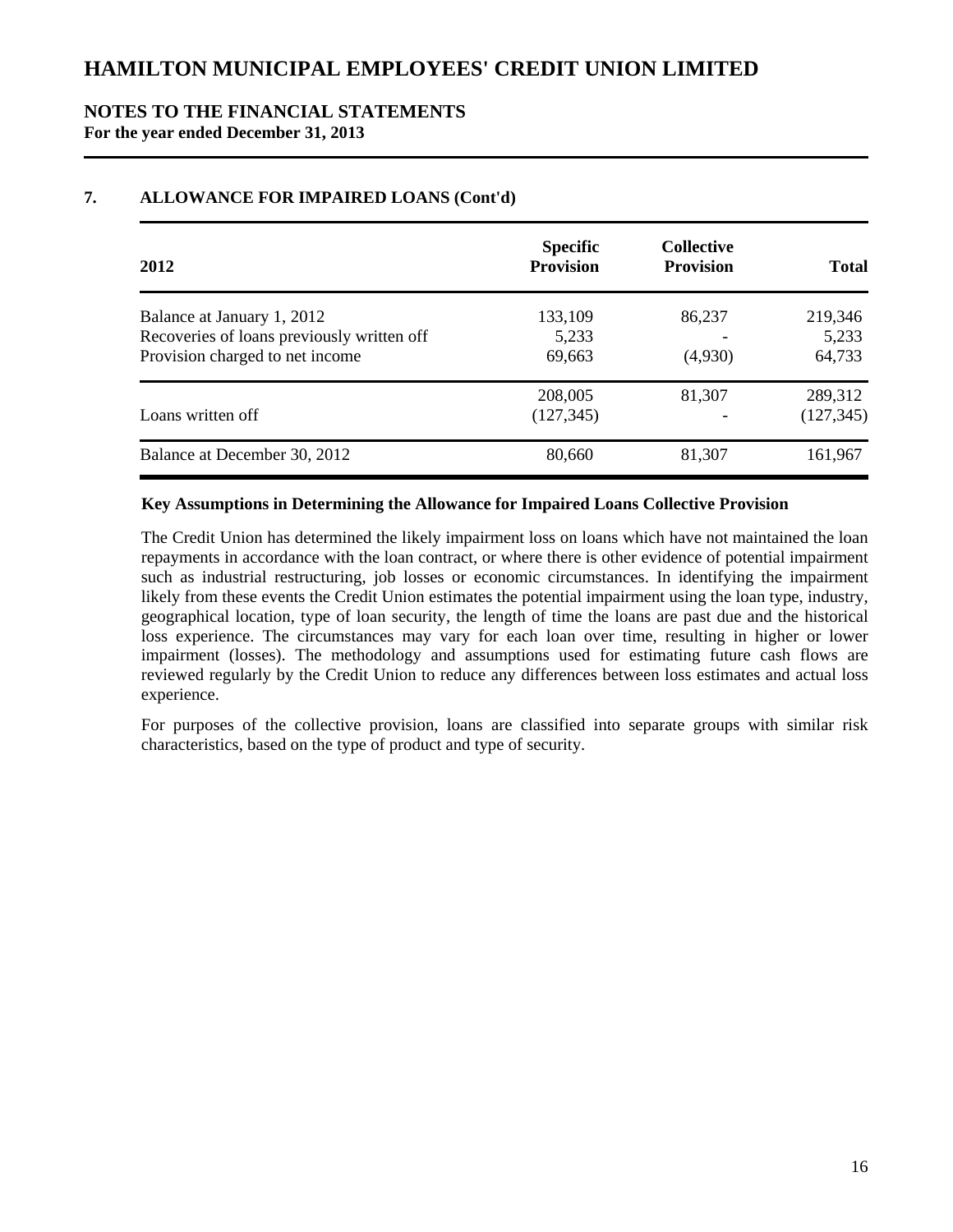## **NOTES TO THE FINANCIAL STATEMENTS For the year ended December 31, 2013**

| 2012                                       | <b>Specific</b><br><b>Provision</b> | <b>Collective</b><br><b>Provision</b> | <b>Total</b> |
|--------------------------------------------|-------------------------------------|---------------------------------------|--------------|
| Balance at January 1, 2012                 | 133,109                             | 86,237                                | 219,346      |
| Recoveries of loans previously written off | 5,233                               |                                       | 5,233        |
| Provision charged to net income            | 69,663                              | (4,930)                               | 64,733       |
|                                            | 208,005                             | 81,307                                | 289,312      |
| Loans written off                          | (127, 345)                          |                                       | (127, 345)   |
| Balance at December 30, 2012               | 80,660                              | 81,307                                | 161,967      |

## **7. ALLOWANCE FOR IMPAIRED LOANS (Cont'd)**

### **Key Assumptions in Determining the Allowance for Impaired Loans Collective Provision**

The Credit Union has determined the likely impairment loss on loans which have not maintained the loan repayments in accordance with the loan contract, or where there is other evidence of potential impairment such as industrial restructuring, job losses or economic circumstances. In identifying the impairment likely from these events the Credit Union estimates the potential impairment using the loan type, industry, geographical location, type of loan security, the length of time the loans are past due and the historical loss experience. The circumstances may vary for each loan over time, resulting in higher or lower impairment (losses). The methodology and assumptions used for estimating future cash flows are reviewed regularly by the Credit Union to reduce any differences between loss estimates and actual loss experience.

For purposes of the collective provision, loans are classified into separate groups with similar risk characteristics, based on the type of product and type of security.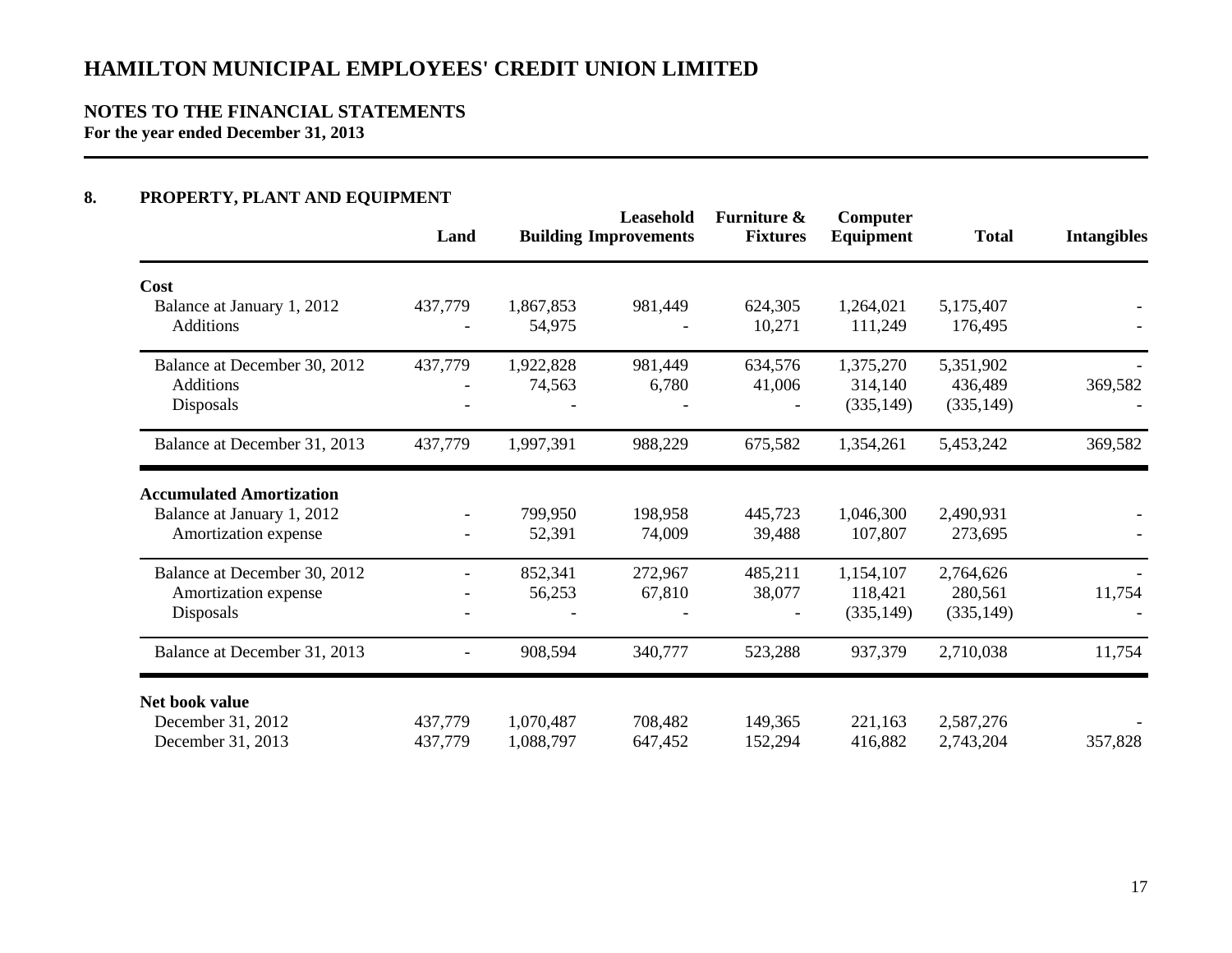## **NOTES TO THE FINANCIAL STATEMENTS**

**For the year ended December 31, 2013**

## **8. PROPERTY, PLANT AND EQUIPMENT**

|                                                                   | Land               |                        | Leasehold<br><b>Building Improvements</b> | Furniture &<br><b>Fixtures</b> | Computer<br>Equipment              | <b>Total</b>                       | <b>Intangibles</b> |
|-------------------------------------------------------------------|--------------------|------------------------|-------------------------------------------|--------------------------------|------------------------------------|------------------------------------|--------------------|
| Cost                                                              |                    |                        |                                           |                                |                                    |                                    |                    |
| Balance at January 1, 2012<br><b>Additions</b>                    | 437,779            | 1,867,853<br>54,975    | 981,449                                   | 624,305<br>10,271              | 1,264,021<br>111,249               | 5,175,407<br>176,495               |                    |
| Balance at December 30, 2012<br><b>Additions</b><br>Disposals     | 437,779            | 1,922,828<br>74,563    | 981,449<br>6,780                          | 634,576<br>41,006              | 1,375,270<br>314,140<br>(335, 149) | 5,351,902<br>436,489<br>(335, 149) | 369,582            |
| Balance at December 31, 2013                                      | 437,779            | 1,997,391              | 988,229                                   | 675,582                        | 1,354,261                          | 5,453,242                          | 369,582            |
| <b>Accumulated Amortization</b>                                   |                    |                        |                                           |                                |                                    |                                    |                    |
| Balance at January 1, 2012<br>Amortization expense                |                    | 799,950<br>52,391      | 198,958<br>74,009                         | 445,723<br>39,488              | 1,046,300<br>107,807               | 2,490,931<br>273,695               |                    |
| Balance at December 30, 2012<br>Amortization expense<br>Disposals |                    | 852,341<br>56,253      | 272,967<br>67,810                         | 485,211<br>38,077              | 1,154,107<br>118,421<br>(335, 149) | 2,764,626<br>280,561<br>(335, 149) | 11,754             |
| Balance at December 31, 2013                                      |                    | 908,594                | 340,777                                   | 523,288                        | 937,379                            | 2,710,038                          | 11,754             |
| Net book value                                                    |                    |                        |                                           |                                |                                    |                                    |                    |
| December 31, 2012<br>December 31, 2013                            | 437,779<br>437,779 | 1,070,487<br>1,088,797 | 708,482<br>647,452                        | 149,365<br>152,294             | 221,163<br>416,882                 | 2,587,276<br>2,743,204             | 357,828            |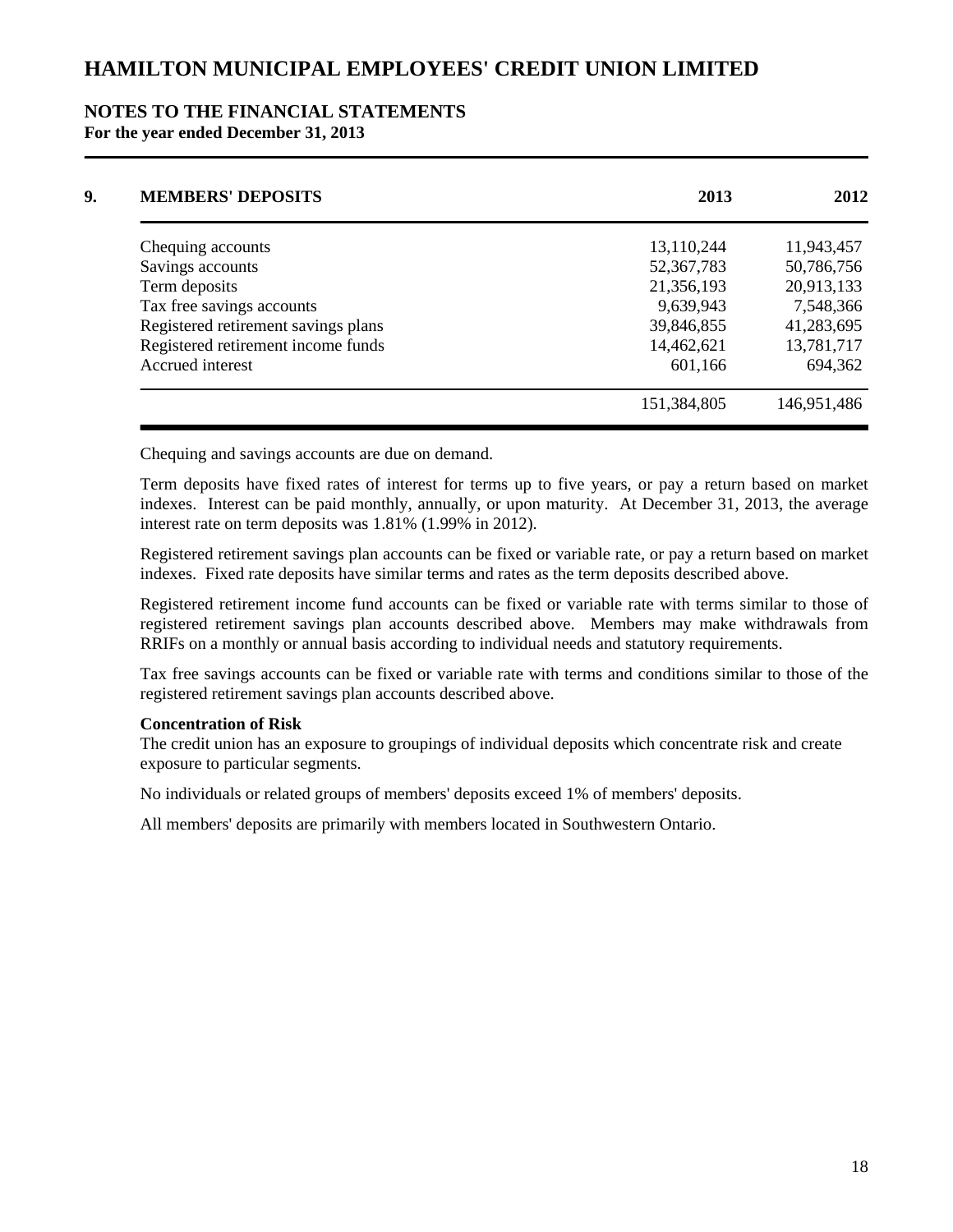### **NOTES TO THE FINANCIAL STATEMENTS For the year ended December 31, 2013**

| <b>MEMBERS' DEPOSITS</b>            | 2013        | 2012        |
|-------------------------------------|-------------|-------------|
| Chequing accounts                   | 13,110,244  | 11,943,457  |
| Savings accounts                    | 52,367,783  | 50,786,756  |
| Term deposits                       | 21,356,193  | 20,913,133  |
| Tax free savings accounts           | 9,639,943   | 7,548,366   |
| Registered retirement savings plans | 39,846,855  | 41,283,695  |
| Registered retirement income funds  | 14,462,621  | 13,781,717  |
| Accrued interest                    | 601,166     | 694,362     |
|                                     | 151,384,805 | 146,951,486 |

Chequing and savings accounts are due on demand.

Term deposits have fixed rates of interest for terms up to five years, or pay a return based on market indexes. Interest can be paid monthly, annually, or upon maturity. At December 31, 2013, the average interest rate on term deposits was 1.81% (1.99% in 2012).

Registered retirement savings plan accounts can be fixed or variable rate, or pay a return based on market indexes. Fixed rate deposits have similar terms and rates as the term deposits described above.

Registered retirement income fund accounts can be fixed or variable rate with terms similar to those of registered retirement savings plan accounts described above. Members may make withdrawals from RRIFs on a monthly or annual basis according to individual needs and statutory requirements.

Tax free savings accounts can be fixed or variable rate with terms and conditions similar to those of the registered retirement savings plan accounts described above.

### **Concentration of Risk**

The credit union has an exposure to groupings of individual deposits which concentrate risk and create exposure to particular segments.

No individuals or related groups of members' deposits exceed 1% of members' deposits.

All members' deposits are primarily with members located in Southwestern Ontario.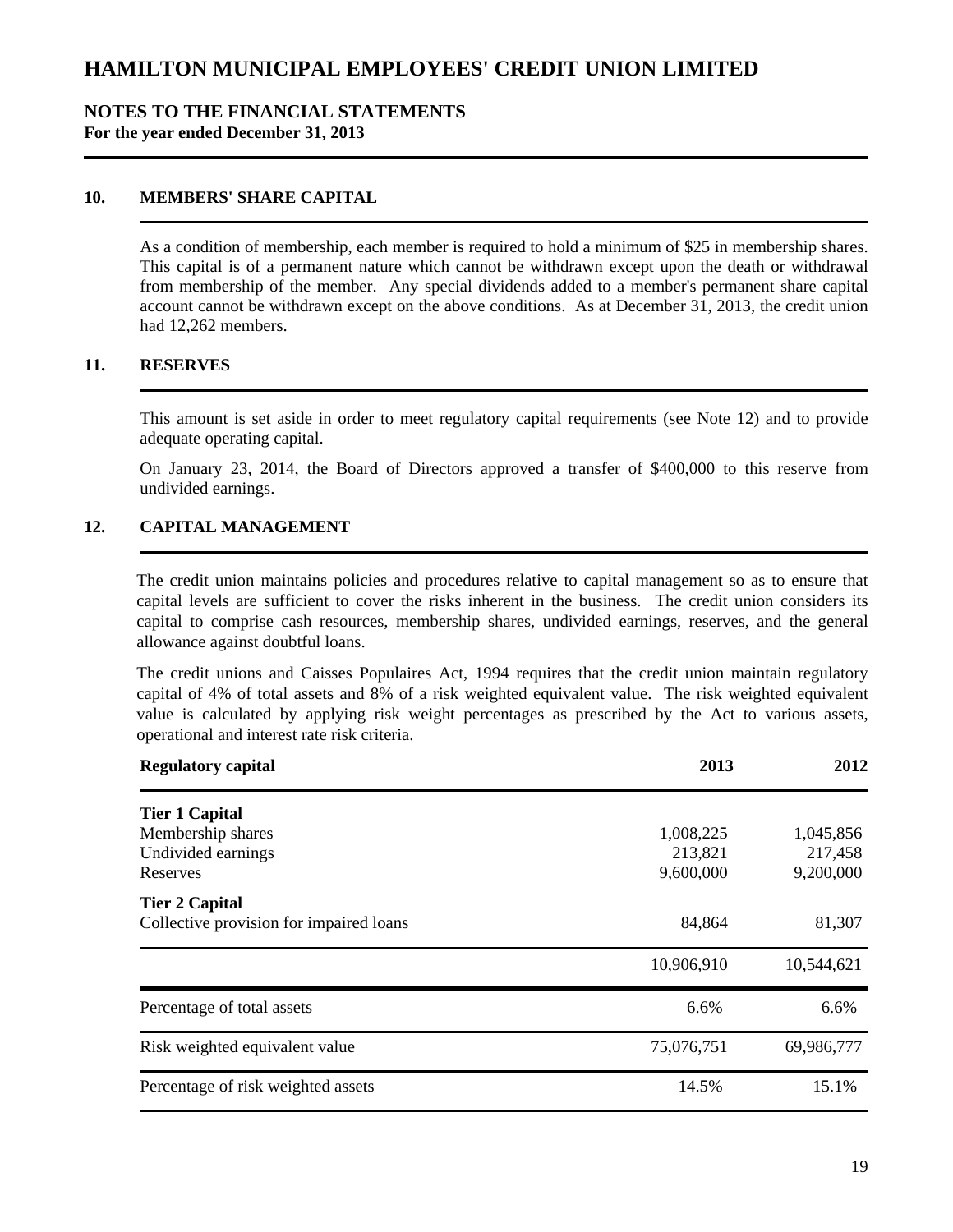## **NOTES TO THE FINANCIAL STATEMENTS For the year ended December 31, 2013**

### **10. MEMBERS' SHARE CAPITAL**

As a condition of membership, each member is required to hold a minimum of \$25 in membership shares. This capital is of a permanent nature which cannot be withdrawn except upon the death or withdrawal from membership of the member. Any special dividends added to a member's permanent share capital account cannot be withdrawn except on the above conditions. As at December 31, 2013, the credit union had 12,262 members.

### **11. RESERVES**

This amount is set aside in order to meet regulatory capital requirements (see Note 12) and to provide adequate operating capital.

On January 23, 2014, the Board of Directors approved a transfer of \$400,000 to this reserve from undivided earnings.

### **12. CAPITAL MANAGEMENT**

The credit union maintains policies and procedures relative to capital management so as to ensure that capital levels are sufficient to cover the risks inherent in the business. The credit union considers its capital to comprise cash resources, membership shares, undivided earnings, reserves, and the general allowance against doubtful loans.

The credit unions and Caisses Populaires Act, 1994 requires that the credit union maintain regulatory capital of 4% of total assets and 8% of a risk weighted equivalent value. The risk weighted equivalent value is calculated by applying risk weight percentages as prescribed by the Act to various assets, operational and interest rate risk criteria.

| <b>Regulatory capital</b>               | 2013       | 2012       |
|-----------------------------------------|------------|------------|
| <b>Tier 1 Capital</b>                   |            |            |
| Membership shares                       | 1,008,225  | 1,045,856  |
| Undivided earnings                      | 213,821    | 217,458    |
| Reserves                                | 9,600,000  | 9,200,000  |
| <b>Tier 2 Capital</b>                   |            |            |
| Collective provision for impaired loans | 84,864     | 81,307     |
|                                         | 10,906,910 | 10,544,621 |
| Percentage of total assets              | 6.6%       | 6.6%       |
| Risk weighted equivalent value          | 75,076,751 | 69,986,777 |
| Percentage of risk weighted assets      | 14.5%      | 15.1%      |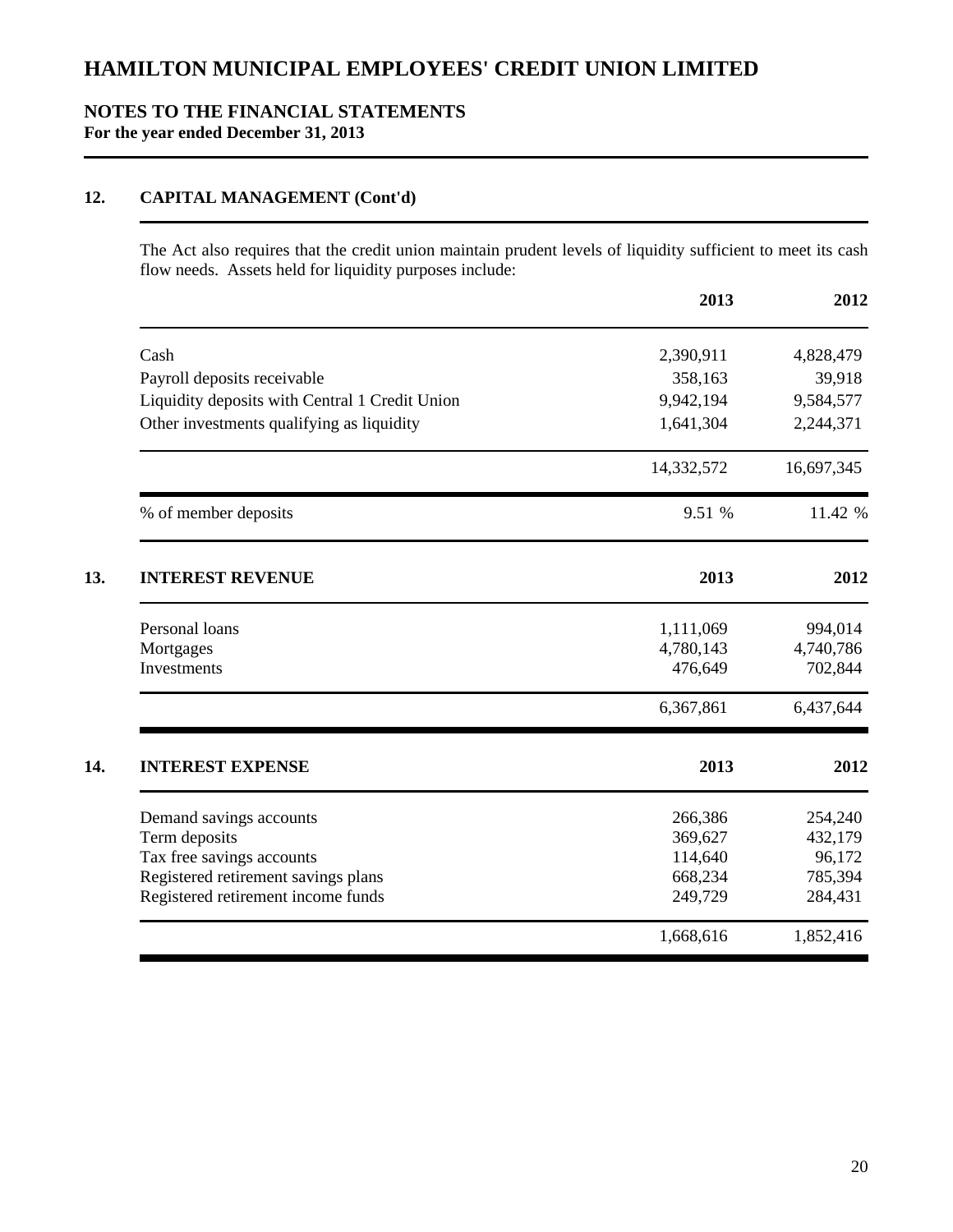## **NOTES TO THE FINANCIAL STATEMENTS For the year ended December 31, 2013**

## **12. CAPITAL MANAGEMENT (Cont'd)**

The Act also requires that the credit union maintain prudent levels of liquidity sufficient to meet its cash flow needs. Assets held for liquidity purposes include:

|                                                | 2013       | 2012       |
|------------------------------------------------|------------|------------|
| Cash                                           | 2,390,911  | 4,828,479  |
| Payroll deposits receivable                    | 358,163    | 39,918     |
| Liquidity deposits with Central 1 Credit Union | 9,942,194  | 9,584,577  |
| Other investments qualifying as liquidity      | 1,641,304  | 2,244,371  |
|                                                | 14,332,572 | 16,697,345 |
| % of member deposits                           | 9.51 %     | 11.42 %    |
| <b>INTEREST REVENUE</b>                        | 2013       | 2012       |
| Personal loans                                 | 1,111,069  | 994,014    |
| Mortgages                                      | 4,780,143  | 4,740,786  |
| Investments                                    | 476,649    | 702,844    |
|                                                | 6,367,861  | 6,437,644  |
| <b>INTEREST EXPENSE</b>                        | 2013       | 2012       |
| Demand savings accounts                        | 266,386    | 254,240    |
| Term deposits                                  | 369,627    | 432,179    |
| Tax free savings accounts                      | 114,640    | 96,172     |
| Registered retirement savings plans            | 668,234    | 785,394    |
| Registered retirement income funds             | 249,729    | 284,431    |
|                                                | 1,668,616  | 1,852,416  |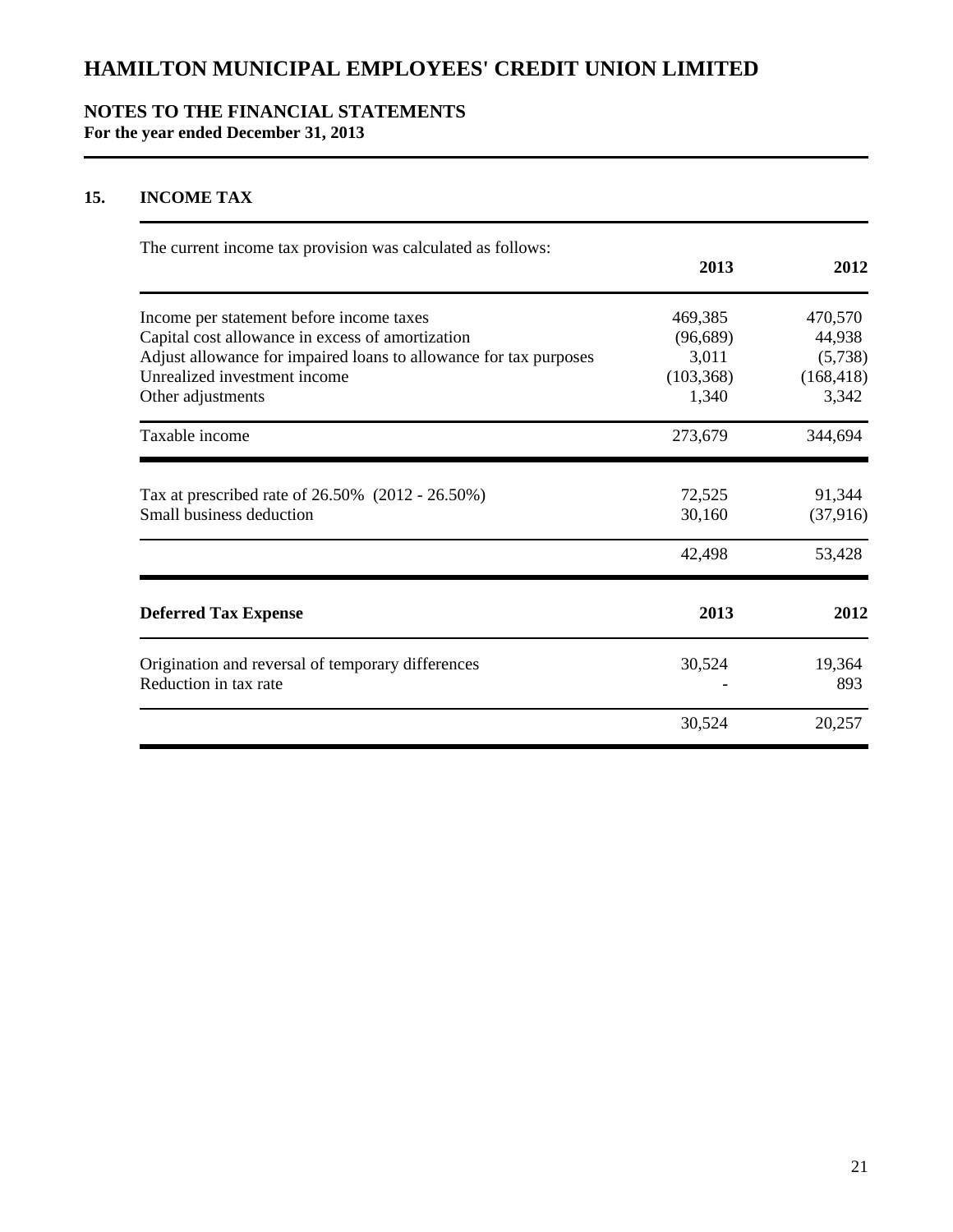## **NOTES TO THE FINANCIAL STATEMENTS For the year ended December 31, 2013**

## **15. INCOME TAX**

| The current income tax provision was calculated as follows:       |            |            |
|-------------------------------------------------------------------|------------|------------|
|                                                                   | 2013       | 2012       |
| Income per statement before income taxes                          | 469,385    | 470,570    |
| Capital cost allowance in excess of amortization                  | (96, 689)  | 44,938     |
| Adjust allowance for impaired loans to allowance for tax purposes | 3,011      | (5,738)    |
| Unrealized investment income                                      | (103, 368) | (168, 418) |
| Other adjustments                                                 | 1,340      | 3,342      |
| Taxable income                                                    | 273,679    | 344,694    |
| Tax at prescribed rate of 26.50% (2012 - 26.50%)                  | 72,525     | 91,344     |
| Small business deduction                                          | 30,160     | (37,916)   |
|                                                                   | 42,498     | 53,428     |
| <b>Deferred Tax Expense</b>                                       | 2013       | 2012       |
| Origination and reversal of temporary differences                 | 30,524     | 19,364     |
| Reduction in tax rate                                             |            | 893        |
|                                                                   | 30,524     | 20,257     |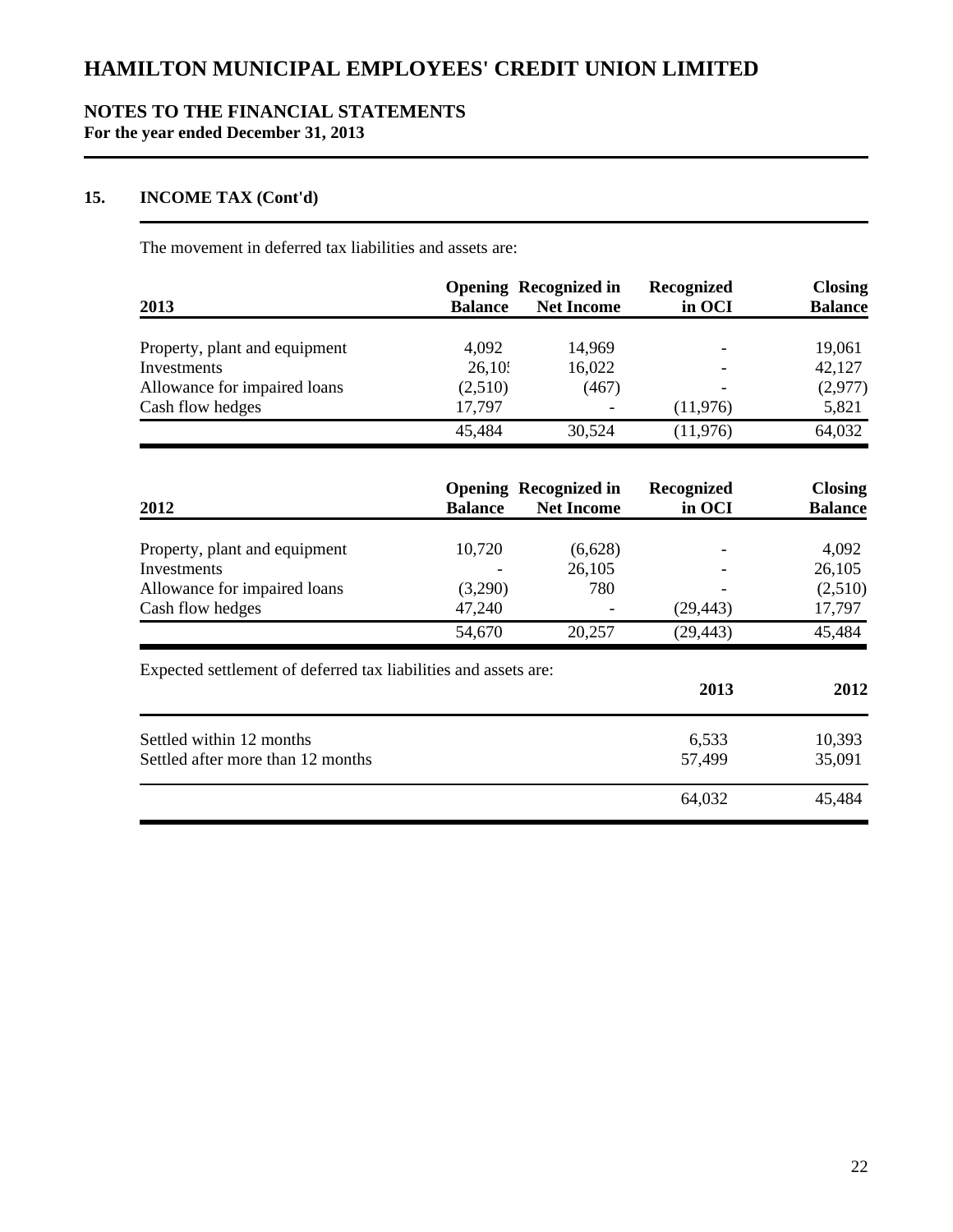## **NOTES TO THE FINANCIAL STATEMENTS For the year ended December 31, 2013**

# **15. INCOME TAX (Cont'd)**

The movement in deferred tax liabilities and assets are:

| 2013                          | <b>Balance</b> | <b>Opening Recognized in</b><br><b>Net Income</b> | Recognized<br>in OCI | <b>Closing</b><br><b>Balance</b> |
|-------------------------------|----------------|---------------------------------------------------|----------------------|----------------------------------|
| Property, plant and equipment | 4,092          | 14,969                                            |                      | 19,061                           |
| Investments                   | 26,10.         | 16,022                                            |                      | 42,127                           |
| Allowance for impaired loans  | (2,510)        | (467)                                             |                      | (2,977)                          |
| Cash flow hedges              | 17,797         | -                                                 | (11,976)             | 5,821                            |
|                               | 45,484         | 30,524                                            | (11, 976)            | 64,032                           |

| 2012                                                            | <b>Balance</b> | <b>Opening</b> Recognized in<br><b>Net Income</b> | Recognized<br>in OCI | <b>Closing</b><br><b>Balance</b> |
|-----------------------------------------------------------------|----------------|---------------------------------------------------|----------------------|----------------------------------|
|                                                                 |                |                                                   |                      |                                  |
| Property, plant and equipment                                   | 10,720         | (6,628)                                           |                      | 4,092                            |
| Investments                                                     |                | 26,105                                            |                      | 26,105                           |
| Allowance for impaired loans                                    | (3,290)        | 780                                               |                      | (2,510)                          |
| Cash flow hedges                                                | 47,240         |                                                   | (29, 443)            | 17,797                           |
|                                                                 | 54,670         | 20,257                                            | (29, 443)            | 45,484                           |
| Expected settlement of deferred tax liabilities and assets are: |                |                                                   | 2013                 | 2012                             |
|                                                                 |                |                                                   |                      |                                  |
| Settled within 12 months                                        |                |                                                   | 6,533                | 10,393                           |
| Settled after more than 12 months                               |                |                                                   | 57,499               | 35,091                           |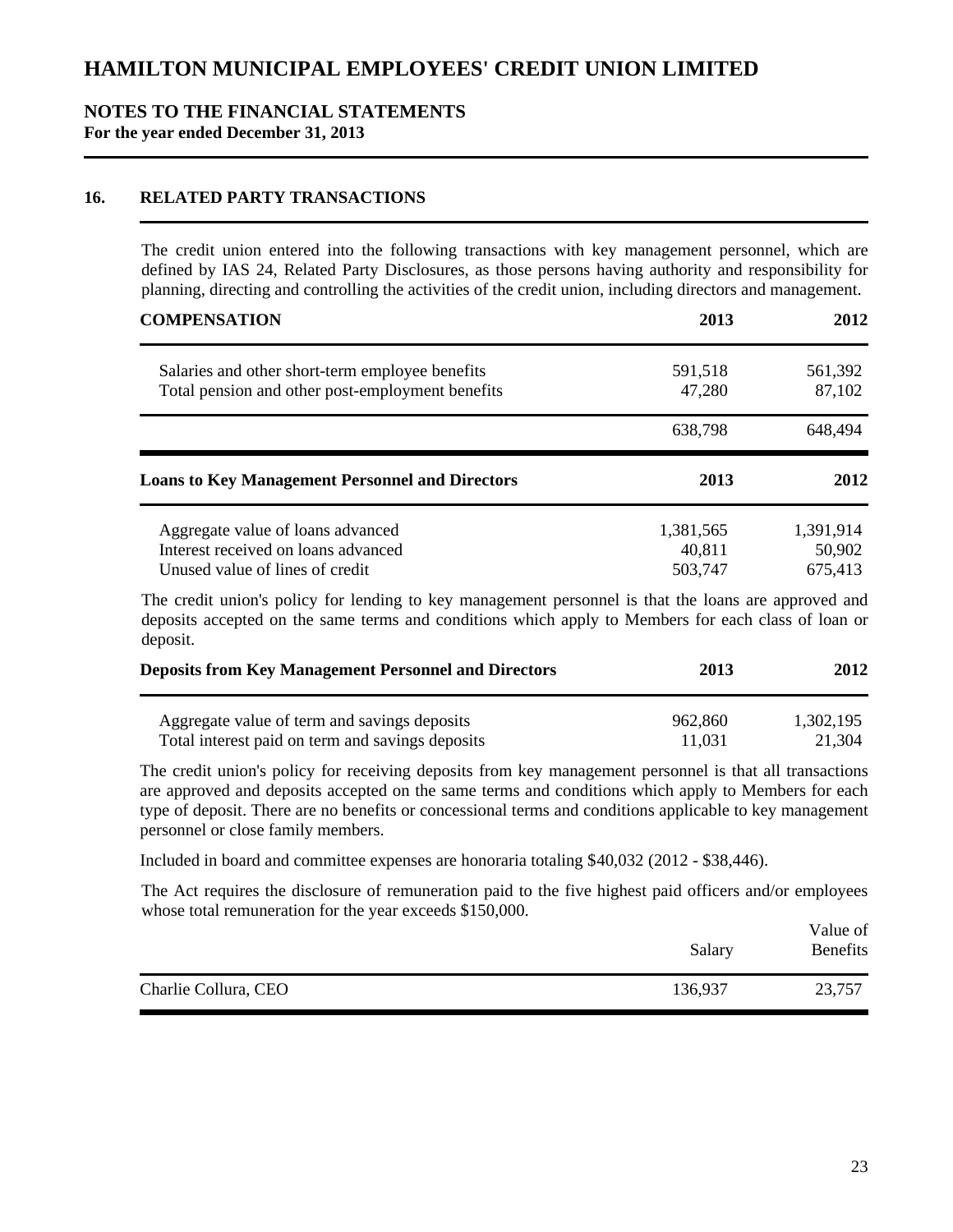### **NOTES TO THE FINANCIAL STATEMENTS For the year ended December 31, 2013**

## **16. RELATED PARTY TRANSACTIONS**

The credit union entered into the following transactions with key management personnel, which are defined by IAS 24, Related Party Disclosures, as those persons having authority and responsibility for planning, directing and controlling the activities of the credit union, including directors and management.

| <b>COMPENSATION</b>                                    | 2013      | 2012      |
|--------------------------------------------------------|-----------|-----------|
| Salaries and other short-term employee benefits        | 591,518   | 561,392   |
| Total pension and other post-employment benefits       | 47,280    | 87,102    |
|                                                        | 638,798   | 648,494   |
| <b>Loans to Key Management Personnel and Directors</b> | 2013      | 2012      |
| Aggregate value of loans advanced                      | 1,381,565 | 1,391,914 |
| Interest received on loans advanced                    | 40,811    | 50,902    |
| Unused value of lines of credit                        | 503,747   | 675,413   |

The credit union's policy for lending to key management personnel is that the loans are approved and deposits accepted on the same terms and conditions which apply to Members for each class of loan or deposit.

| <b>Deposits from Key Management Personnel and Directors</b> | 2013    | 2012      |  |
|-------------------------------------------------------------|---------|-----------|--|
| Aggregate value of term and savings deposits                | 962,860 | 1,302,195 |  |
| Total interest paid on term and savings deposits            | 11,031  | 21,304    |  |

The credit union's policy for receiving deposits from key management personnel is that all transactions are approved and deposits accepted on the same terms and conditions which apply to Members for each type of deposit. There are no benefits or concessional terms and conditions applicable to key management personnel or close family members.

Included in board and committee expenses are honoraria totaling \$40,032 (2012 - \$38,446).

The Act requires the disclosure of remuneration paid to the five highest paid officers and/or employees whose total remuneration for the year exceeds \$150,000.

|                      | Salary  | Value of<br><b>Benefits</b> |  |
|----------------------|---------|-----------------------------|--|
| Charlie Collura, CEO | 136,937 | 23,757                      |  |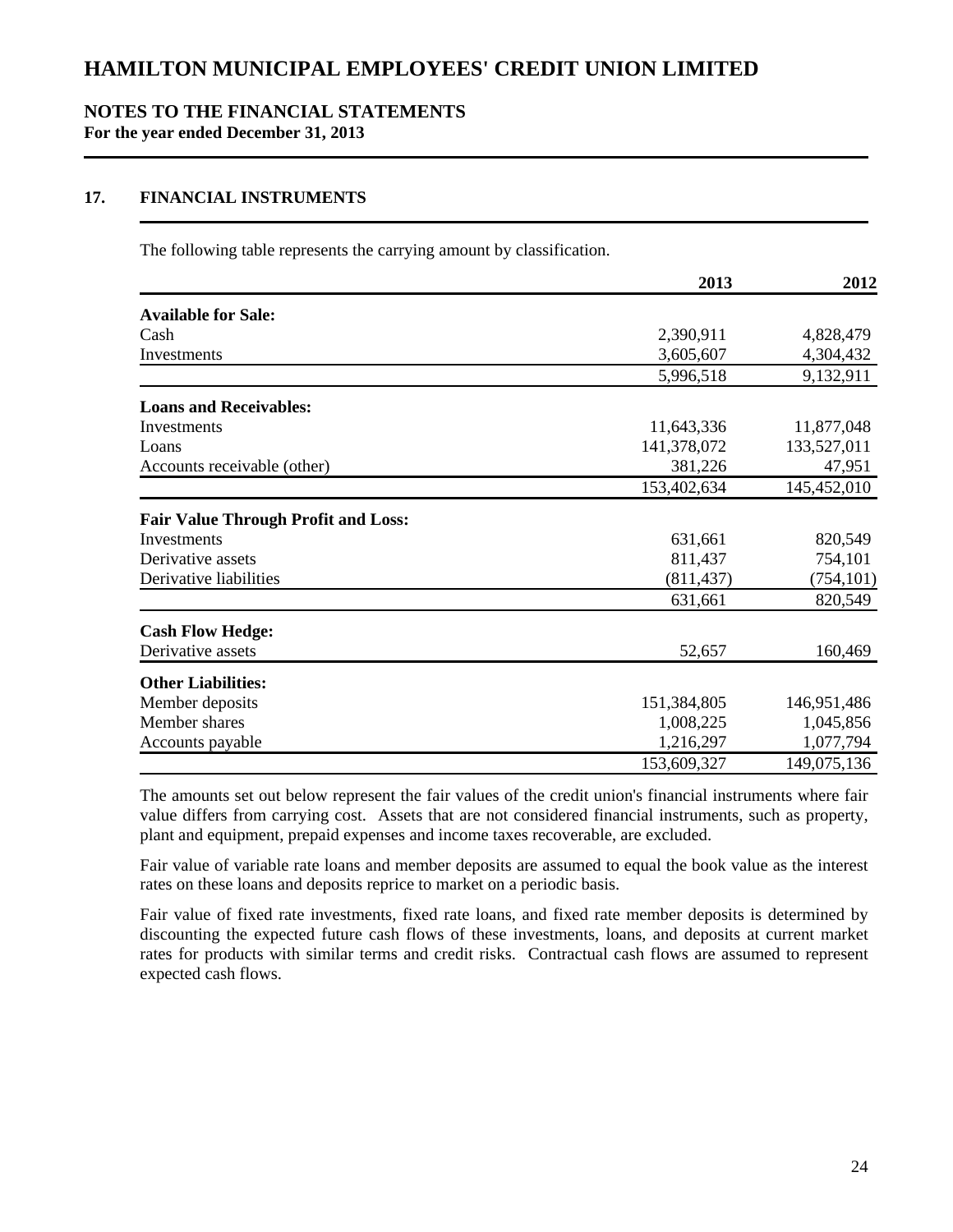### **NOTES TO THE FINANCIAL STATEMENTS For the year ended December 31, 2013**

## **17. FINANCIAL INSTRUMENTS**

The following table represents the carrying amount by classification.

|                                            | 2013        | 2012        |
|--------------------------------------------|-------------|-------------|
| <b>Available for Sale:</b>                 |             |             |
| Cash                                       | 2,390,911   | 4,828,479   |
| Investments                                | 3,605,607   | 4,304,432   |
|                                            | 5,996,518   | 9,132,911   |
| <b>Loans and Receivables:</b>              |             |             |
| Investments                                | 11,643,336  | 11,877,048  |
| Loans                                      | 141,378,072 | 133,527,011 |
| Accounts receivable (other)                | 381,226     | 47,951      |
|                                            | 153,402,634 | 145,452,010 |
| <b>Fair Value Through Profit and Loss:</b> |             |             |
| Investments                                | 631,661     | 820,549     |
| Derivative assets                          | 811,437     | 754,101     |
| Derivative liabilities                     | (811, 437)  | (754, 101)  |
|                                            | 631,661     | 820,549     |
| <b>Cash Flow Hedge:</b>                    |             |             |
| Derivative assets                          | 52,657      | 160,469     |
| <b>Other Liabilities:</b>                  |             |             |
| Member deposits                            | 151,384,805 | 146,951,486 |
| Member shares                              | 1,008,225   | 1,045,856   |
| Accounts payable                           | 1,216,297   | 1,077,794   |
|                                            | 153,609,327 | 149,075,136 |

The amounts set out below represent the fair values of the credit union's financial instruments where fair value differs from carrying cost. Assets that are not considered financial instruments, such as property, plant and equipment, prepaid expenses and income taxes recoverable, are excluded.

Fair value of variable rate loans and member deposits are assumed to equal the book value as the interest rates on these loans and deposits reprice to market on a periodic basis.

Fair value of fixed rate investments, fixed rate loans, and fixed rate member deposits is determined by discounting the expected future cash flows of these investments, loans, and deposits at current market rates for products with similar terms and credit risks. Contractual cash flows are assumed to represent expected cash flows.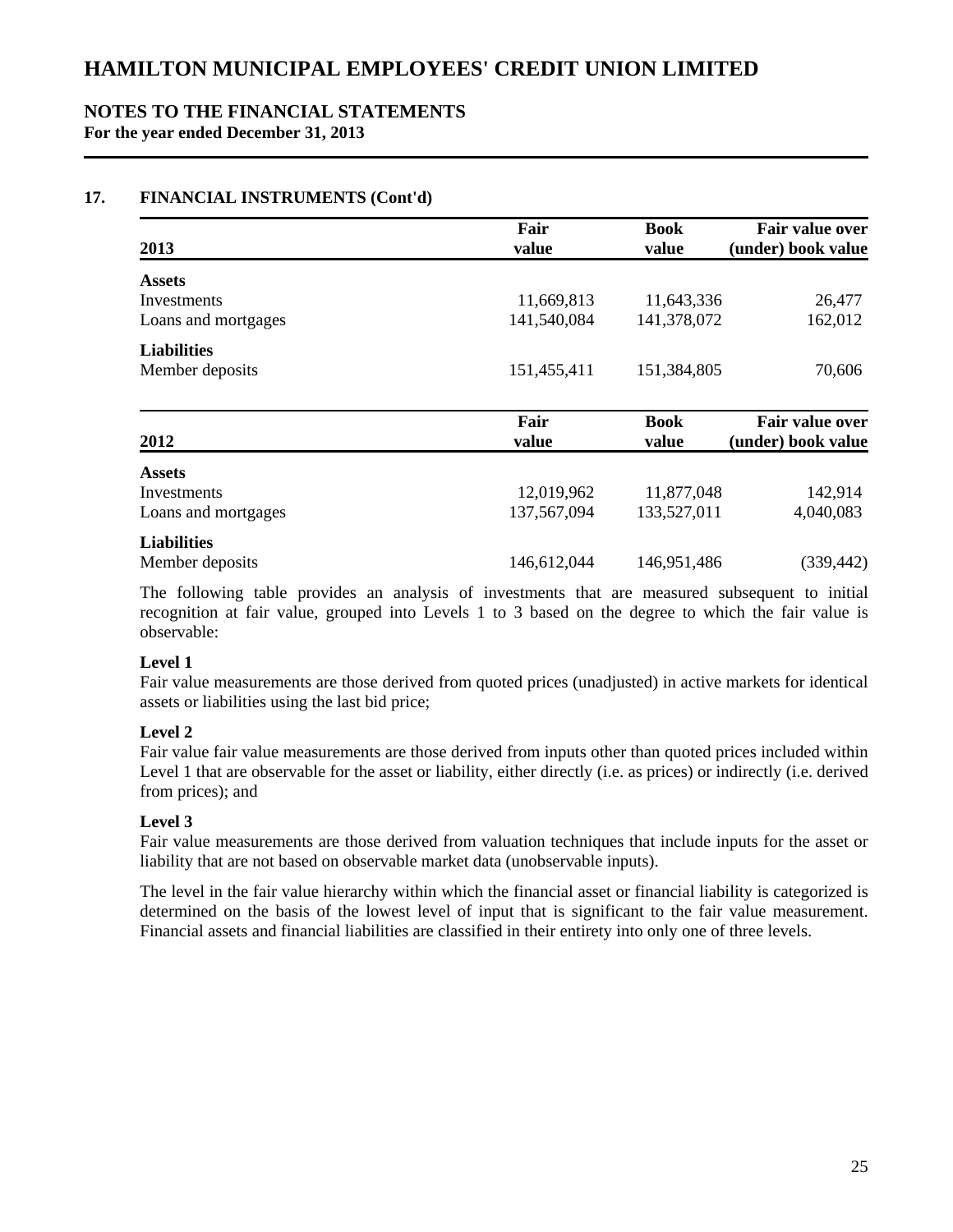## **NOTES TO THE FINANCIAL STATEMENTS For the year ended December 31, 2013**

#### **2013 Fair value Book value Fair value over (under) book value Assets** Investments 26,477 Loans and mortgages 141,540,084 141,378,072 162,012 **Liabilities** Member deposits 151,455,411 151,384,805 70,606 **2012 Fair value Book value Fair value over (under) book value Assets** Investments 12,019,962 11,877,048 142,914 Loans and mortgages 137,567,094 133,527,011 4,040,083 **Liabilities** Member deposits 146,612,044 146,951,486 (339,442)

## **17. FINANCIAL INSTRUMENTS (Cont'd)**

The following table provides an analysis of investments that are measured subsequent to initial recognition at fair value, grouped into Levels 1 to 3 based on the degree to which the fair value is observable:

## **Level 1**

Fair value measurements are those derived from quoted prices (unadjusted) in active markets for identical assets or liabilities using the last bid price;

### **Level 2**

Fair value fair value measurements are those derived from inputs other than quoted prices included within Level 1 that are observable for the asset or liability, either directly (i.e. as prices) or indirectly (i.e. derived from prices); and

### **Level 3**

Fair value measurements are those derived from valuation techniques that include inputs for the asset or liability that are not based on observable market data (unobservable inputs).

The level in the fair value hierarchy within which the financial asset or financial liability is categorized is determined on the basis of the lowest level of input that is significant to the fair value measurement. Financial assets and financial liabilities are classified in their entirety into only one of three levels.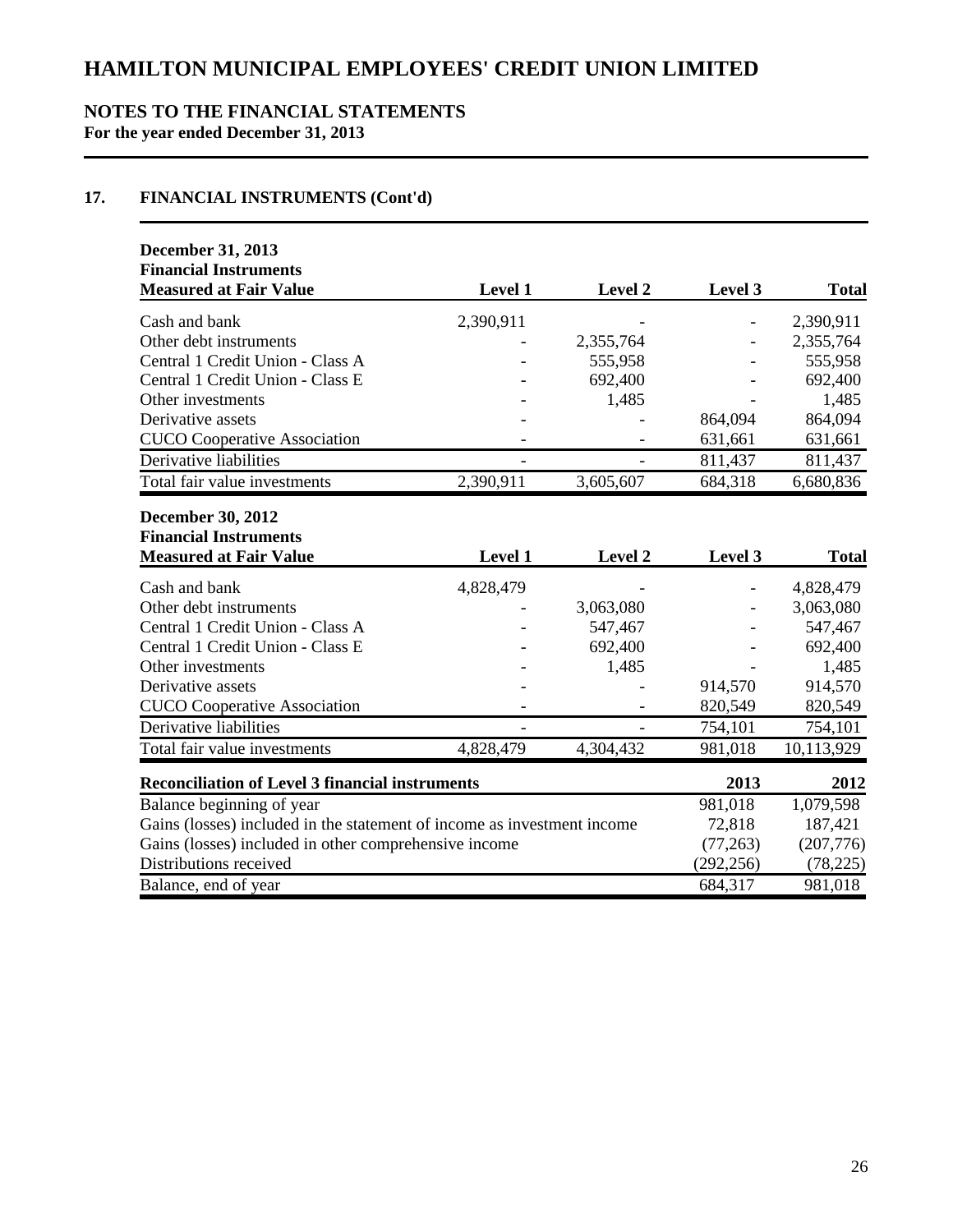## **NOTES TO THE FINANCIAL STATEMENTS For the year ended December 31, 2013**

## **17. FINANCIAL INSTRUMENTS (Cont'd)**

| <b>December 31, 2013</b>                                                           |           |           |            |              |  |
|------------------------------------------------------------------------------------|-----------|-----------|------------|--------------|--|
| <b>Financial Instruments</b><br><b>Measured at Fair Value</b>                      | Level 1   | Level 2   | Level 3    | <b>Total</b> |  |
| Cash and bank                                                                      | 2,390,911 |           |            | 2,390,911    |  |
| Other debt instruments                                                             |           | 2,355,764 |            | 2,355,764    |  |
| Central 1 Credit Union - Class A                                                   |           | 555,958   |            | 555,958      |  |
| Central 1 Credit Union - Class E                                                   |           | 692,400   |            | 692,400      |  |
| Other investments                                                                  |           | 1,485     |            | 1,485        |  |
| Derivative assets                                                                  |           |           | 864,094    | 864,094      |  |
| <b>CUCO Cooperative Association</b>                                                |           |           | 631,661    | 631,661      |  |
| Derivative liabilities                                                             |           |           | 811,437    | 811,437      |  |
| Total fair value investments                                                       | 2,390,911 | 3,605,607 | 684,318    | 6,680,836    |  |
| December 30, 2012<br><b>Financial Instruments</b><br><b>Measured at Fair Value</b> | Level 1   | Level 2   | Level 3    | <b>Total</b> |  |
| Cash and bank                                                                      | 4,828,479 |           |            | 4,828,479    |  |
| Other debt instruments                                                             |           | 3,063,080 |            | 3,063,080    |  |
| Central 1 Credit Union - Class A                                                   |           | 547,467   |            | 547,467      |  |
| Central 1 Credit Union - Class E                                                   |           | 692,400   |            | 692,400      |  |
| Other investments                                                                  |           | 1,485     |            | 1,485        |  |
| Derivative assets                                                                  |           |           | 914,570    | 914,570      |  |
| <b>CUCO</b> Cooperative Association                                                |           |           | 820,549    | 820,549      |  |
| Derivative liabilities                                                             |           |           | 754,101    | 754,101      |  |
| Total fair value investments                                                       | 4,828,479 | 4,304,432 | 981,018    | 10,113,929   |  |
| <b>Reconciliation of Level 3 financial instruments</b>                             |           |           | 2013       | 2012         |  |
| Balance beginning of year                                                          | 981,018   | 1,079,598 |            |              |  |
| Gains (losses) included in the statement of income as investment income            | 72,818    | 187,421   |            |              |  |
| Gains (losses) included in other comprehensive income                              | (77, 263) | (207,776) |            |              |  |
| Distributions received                                                             |           |           | (292, 256) | (78, 225)    |  |
| Balance, end of year                                                               |           |           | 684,317    | 981,018      |  |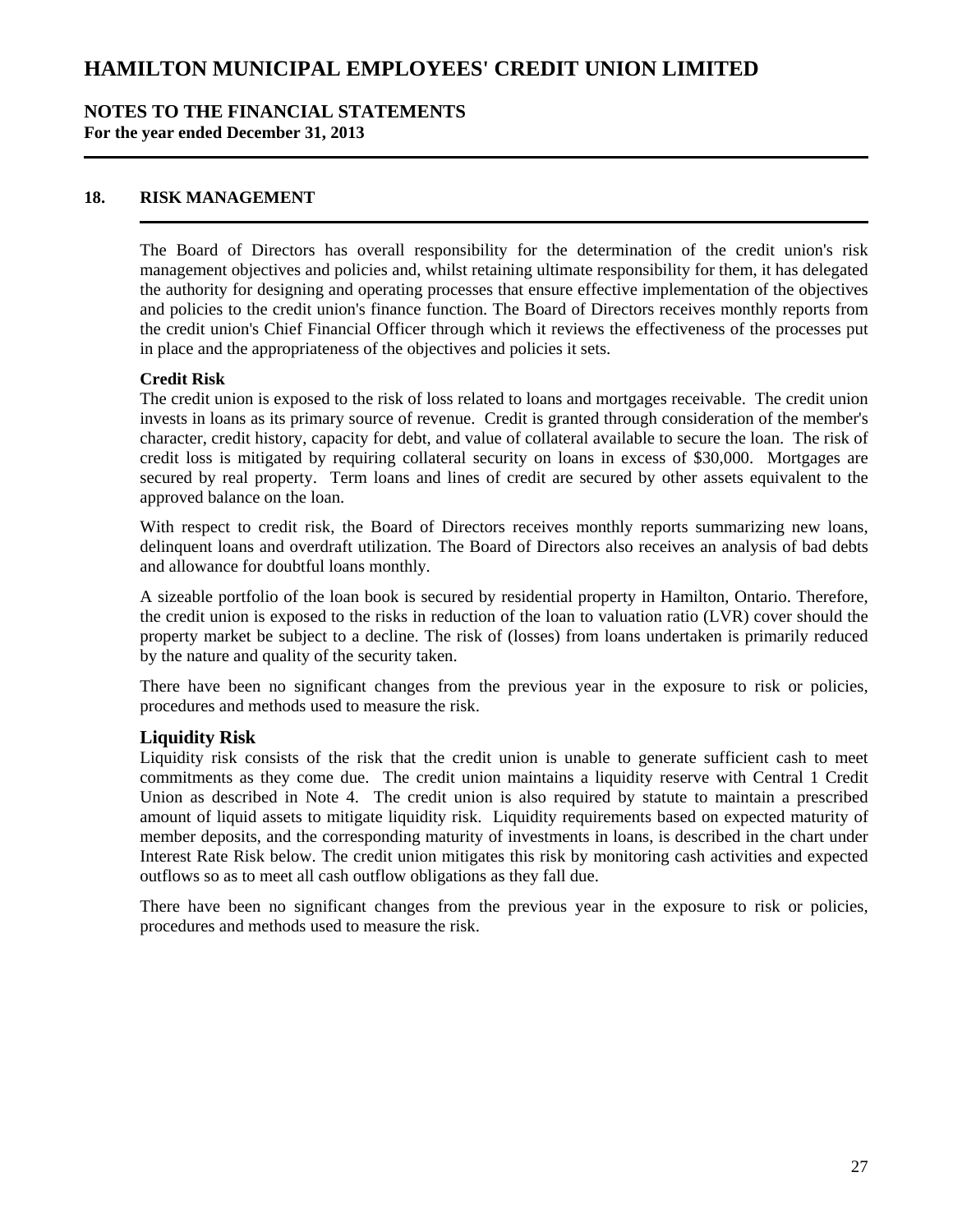## **NOTES TO THE FINANCIAL STATEMENTS For the year ended December 31, 2013**

## **18. RISK MANAGEMENT**

The Board of Directors has overall responsibility for the determination of the credit union's risk management objectives and policies and, whilst retaining ultimate responsibility for them, it has delegated the authority for designing and operating processes that ensure effective implementation of the objectives and policies to the credit union's finance function. The Board of Directors receives monthly reports from the credit union's Chief Financial Officer through which it reviews the effectiveness of the processes put in place and the appropriateness of the objectives and policies it sets.

### **Credit Risk**

The credit union is exposed to the risk of loss related to loans and mortgages receivable. The credit union invests in loans as its primary source of revenue. Credit is granted through consideration of the member's character, credit history, capacity for debt, and value of collateral available to secure the loan. The risk of credit loss is mitigated by requiring collateral security on loans in excess of \$30,000. Mortgages are secured by real property. Term loans and lines of credit are secured by other assets equivalent to the approved balance on the loan.

With respect to credit risk, the Board of Directors receives monthly reports summarizing new loans, delinquent loans and overdraft utilization. The Board of Directors also receives an analysis of bad debts and allowance for doubtful loans monthly.

A sizeable portfolio of the loan book is secured by residential property in Hamilton, Ontario. Therefore, the credit union is exposed to the risks in reduction of the loan to valuation ratio (LVR) cover should the property market be subject to a decline. The risk of (losses) from loans undertaken is primarily reduced by the nature and quality of the security taken.

There have been no significant changes from the previous year in the exposure to risk or policies, procedures and methods used to measure the risk.

### **Liquidity Risk**

Liquidity risk consists of the risk that the credit union is unable to generate sufficient cash to meet commitments as they come due. The credit union maintains a liquidity reserve with Central 1 Credit Union as described in Note 4. The credit union is also required by statute to maintain a prescribed amount of liquid assets to mitigate liquidity risk. Liquidity requirements based on expected maturity of member deposits, and the corresponding maturity of investments in loans, is described in the chart under Interest Rate Risk below. The credit union mitigates this risk by monitoring cash activities and expected outflows so as to meet all cash outflow obligations as they fall due.

There have been no significant changes from the previous year in the exposure to risk or policies, procedures and methods used to measure the risk.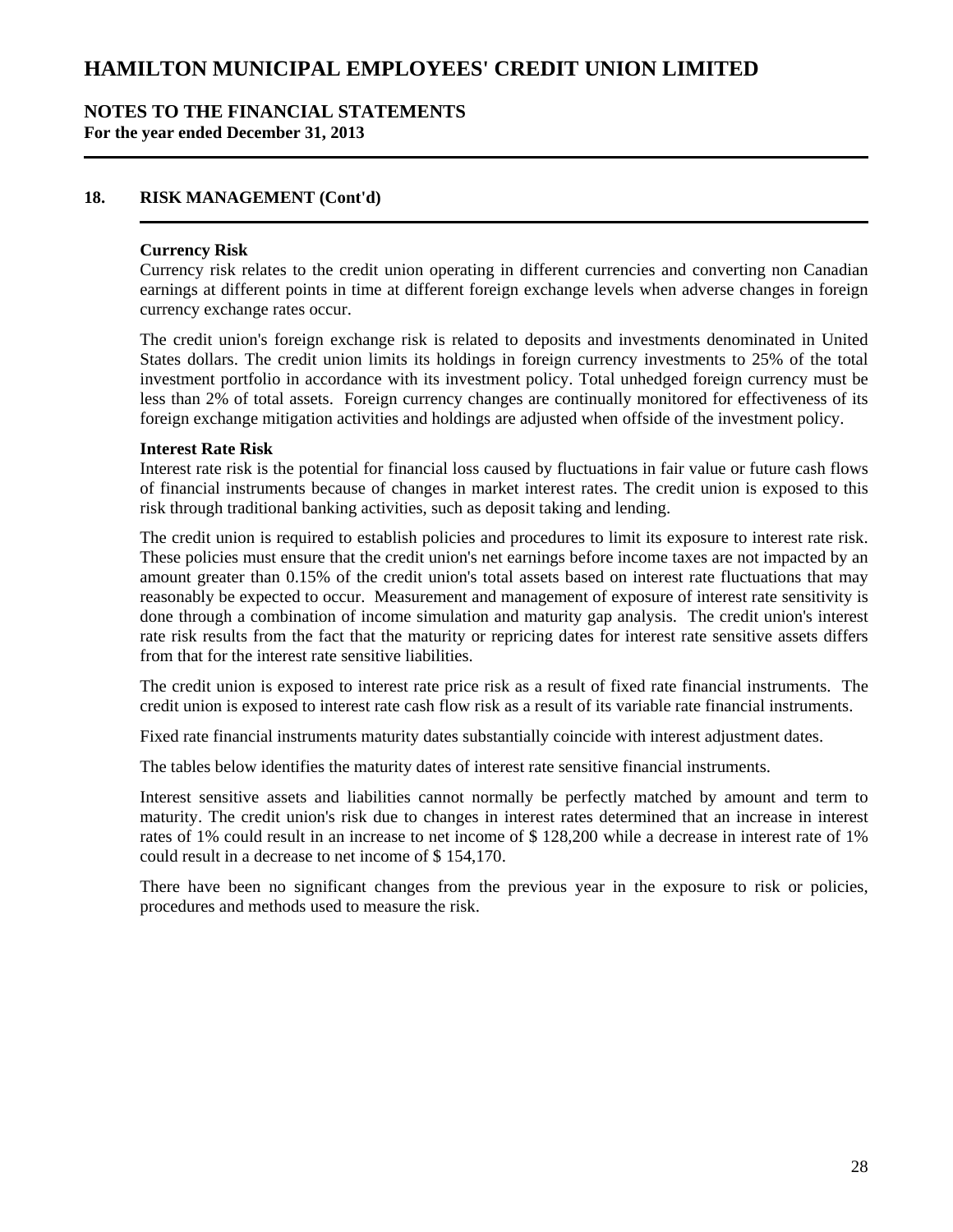## **NOTES TO THE FINANCIAL STATEMENTS For the year ended December 31, 2013**

## **18. RISK MANAGEMENT (Cont'd)**

#### **Currency Risk**

Currency risk relates to the credit union operating in different currencies and converting non Canadian earnings at different points in time at different foreign exchange levels when adverse changes in foreign currency exchange rates occur.

The credit union's foreign exchange risk is related to deposits and investments denominated in United States dollars. The credit union limits its holdings in foreign currency investments to 25% of the total investment portfolio in accordance with its investment policy. Total unhedged foreign currency must be less than 2% of total assets. Foreign currency changes are continually monitored for effectiveness of its foreign exchange mitigation activities and holdings are adjusted when offside of the investment policy.

### **Interest Rate Risk**

Interest rate risk is the potential for financial loss caused by fluctuations in fair value or future cash flows of financial instruments because of changes in market interest rates. The credit union is exposed to this risk through traditional banking activities, such as deposit taking and lending.

The credit union is required to establish policies and procedures to limit its exposure to interest rate risk. These policies must ensure that the credit union's net earnings before income taxes are not impacted by an amount greater than 0.15% of the credit union's total assets based on interest rate fluctuations that may reasonably be expected to occur. Measurement and management of exposure of interest rate sensitivity is done through a combination of income simulation and maturity gap analysis. The credit union's interest rate risk results from the fact that the maturity or repricing dates for interest rate sensitive assets differs from that for the interest rate sensitive liabilities.

The credit union is exposed to interest rate price risk as a result of fixed rate financial instruments. The credit union is exposed to interest rate cash flow risk as a result of its variable rate financial instruments.

Fixed rate financial instruments maturity dates substantially coincide with interest adjustment dates.

The tables below identifies the maturity dates of interest rate sensitive financial instruments.

Interest sensitive assets and liabilities cannot normally be perfectly matched by amount and term to maturity. The credit union's risk due to changes in interest rates determined that an increase in interest rates of 1% could result in an increase to net income of \$ 128,200 while a decrease in interest rate of 1% could result in a decrease to net income of \$ 154,170.

There have been no significant changes from the previous year in the exposure to risk or policies, procedures and methods used to measure the risk.